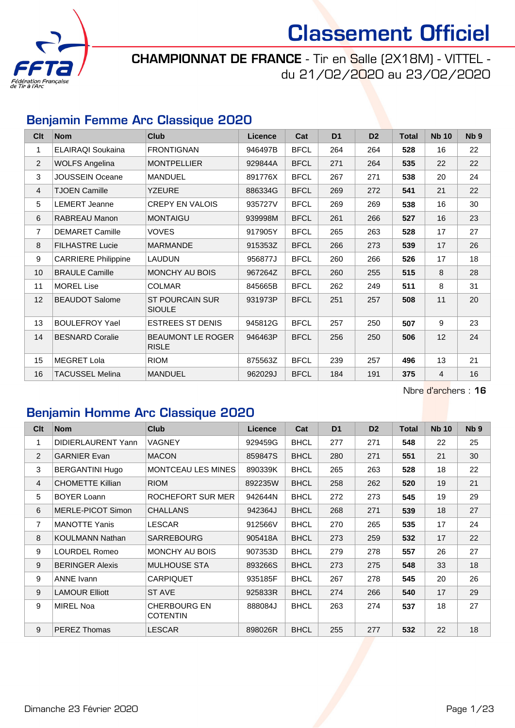

CHAMPIONNAT DE FRANCE - Tir en Salle (2X18M) - VITTEL du 21/02/2020 au 23/02/2020

#### Benjamin Femme Arc Classique 2020

| C <sub>it</sub> | <b>Nom</b>                 | <b>Club</b>                              | <b>Licence</b> | Cat         | D <sub>1</sub> | D <sub>2</sub> | <b>Total</b> | <b>Nb 10</b>   | N <sub>b</sub> <sub>9</sub> |
|-----------------|----------------------------|------------------------------------------|----------------|-------------|----------------|----------------|--------------|----------------|-----------------------------|
| 1               | ELAIRAQI Soukaina          | <b>FRONTIGNAN</b>                        | 946497B        | <b>BFCL</b> | 264            | 264            | 528          | 16             | 22                          |
| $\overline{2}$  | <b>WOLFS Angelina</b>      | <b>MONTPELLIER</b>                       | 929844A        | <b>BFCL</b> | 271            | 264            | 535          | 22             | 22                          |
| 3               | <b>JOUSSEIN Oceane</b>     | <b>MANDUEL</b>                           | 891776X        | <b>BFCL</b> | 267            | 271            | 538          | 20             | 24                          |
| $\overline{4}$  | <b>TJOEN Camille</b>       | <b>YZEURE</b>                            | 886334G        | <b>BFCL</b> | 269            | 272            | 541          | 21             | 22                          |
| 5               | <b>LEMERT Jeanne</b>       | <b>CREPY EN VALOIS</b>                   | 935727V        | <b>BFCL</b> | 269            | 269            | 538          | 16             | 30                          |
| 6               | <b>RABREAU Manon</b>       | <b>MONTAIGU</b>                          | 939998M        | <b>BFCL</b> | 261            | 266            | 527          | 16             | 23                          |
| $\overline{7}$  | <b>DEMARET Camille</b>     | <b>VOVES</b>                             | 917905Y        | <b>BFCL</b> | 265            | 263            | 528          | 17             | 27                          |
| 8               | <b>FILHASTRE Lucie</b>     | <b>MARMANDE</b>                          | 915353Z        | <b>BFCL</b> | 266            | 273            | 539          | 17             | 26                          |
| 9               | <b>CARRIERE Philippine</b> | <b>LAUDUN</b>                            | 956877J        | <b>BFCL</b> | 260            | 266            | 526          | 17             | 18                          |
| 10              | <b>BRAULE Camille</b>      | <b>MONCHY AU BOIS</b>                    | 967264Z        | <b>BFCL</b> | 260            | 255            | 515          | 8              | 28                          |
| 11              | <b>MOREL Lise</b>          | <b>COLMAR</b>                            | 845665B        | <b>BFCL</b> | 262            | 249            | 511          | 8              | 31                          |
| 12              | <b>BEAUDOT Salome</b>      | <b>ST POURCAIN SUR</b><br><b>SIOULE</b>  | 931973P        | <b>BFCL</b> | 251            | 257            | 508          | 11             | 20                          |
| 13              | <b>BOULEFROY Yael</b>      | <b>ESTREES ST DENIS</b>                  | 945812G        | <b>BFCL</b> | 257            | 250            | 507          | 9              | 23                          |
| 14              | <b>BESNARD Coralie</b>     | <b>BEAUMONT LE ROGER</b><br><b>RISLE</b> | 946463P        | <b>BFCL</b> | 256            | 250            | 506          | 12             | 24                          |
| 15              | <b>MEGRET Lola</b>         | <b>RIOM</b>                              | 875563Z        | <b>BFCL</b> | 239            | 257            | 496          | 13             | 21                          |
| 16              | TACUSSEL Melina            | <b>MANDUEL</b>                           | 962029J        | <b>BFCL</b> | 184            | 191            | 375          | $\overline{4}$ | 16                          |

Nbre d'archers : 16

#### Benjamin Homme Arc Classique 2020

| C <sub>lt</sub> | <b>Nom</b>              | <b>Club</b>                     | <b>Licence</b> | Cat         | D <sub>1</sub> | D <sub>2</sub> | <b>Total</b> | <b>Nb 10</b> | N <sub>b</sub> <sub>9</sub> |
|-----------------|-------------------------|---------------------------------|----------------|-------------|----------------|----------------|--------------|--------------|-----------------------------|
| 1               | DIDIERLAURENT Yann      | <b>VAGNEY</b>                   | 929459G        | <b>BHCL</b> | 277            | 271            | 548          | 22           | 25                          |
| 2               | <b>GARNIER Evan</b>     | <b>MACON</b>                    | 859847S        | <b>BHCL</b> | 280            | 271            | 551          | 21           | 30                          |
| 3               | <b>BERGANTINI Hugo</b>  | <b>MONTCEAU LES MINES</b>       | 890339K        | <b>BHCL</b> | 265            | 263            | 528          | 18           | 22                          |
| $\overline{4}$  | <b>CHOMETTE Killian</b> | <b>RIOM</b>                     | 892235W        | <b>BHCL</b> | 258            | 262            | 520          | 19           | 21                          |
| 5               | <b>BOYER Loann</b>      | ROCHEFORT SUR MER               | 942644N        | <b>BHCL</b> | 272            | 273            | 545          | 19           | 29                          |
| 6               | MERLE-PICOT Simon       | <b>CHALLANS</b>                 | 942364J        | <b>BHCL</b> | 268            | 271            | 539          | 18           | 27                          |
| $\overline{7}$  | <b>MANOTTE Yanis</b>    | <b>LESCAR</b>                   | 912566V        | <b>BHCL</b> | 270            | 265            | 535          | 17           | 24                          |
| 8               | <b>KOULMANN Nathan</b>  | <b>SARREBOURG</b>               | 905418A        | <b>BHCL</b> | 273            | 259            | 532          | 17           | 22                          |
| 9               | LOURDEL Romeo           | MONCHY AU BOIS                  | 907353D        | <b>BHCL</b> | 279            | 278            | 557          | 26           | 27                          |
| 9               | <b>BERINGER Alexis</b>  | <b>MULHOUSE STA</b>             | 893266S        | <b>BHCL</b> | 273            | 275            | 548          | 33           | 18                          |
| 9               | <b>ANNE Ivann</b>       | CARPIQUET                       | 935185F        | <b>BHCL</b> | 267            | 278            | 545          | 20           | 26                          |
| 9               | <b>LAMOUR Elliott</b>   | ST AVE                          | 925833R        | <b>BHCL</b> | 274            | 266            | 540          | 17           | 29                          |
| 9               | MIREL Noa               | CHERBOURG EN<br><b>COTENTIN</b> | 888084J        | <b>BHCL</b> | 263            | 274            | 537          | 18           | 27                          |
| 9               | <b>PEREZ Thomas</b>     | <b>LESCAR</b>                   | 898026R        | <b>BHCL</b> | 255            | 277            | 532          | 22           | 18                          |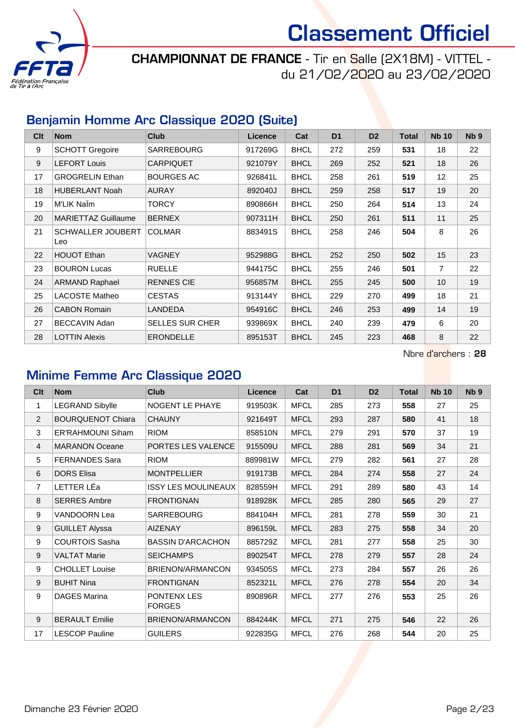

CHAMPIONNAT DE FRANCE - Tir en Salle (2X18M) - VITTEL du 21/02/2020 au 23/02/2020

#### Benjamin Homme Arc Classique 2020 (Suite)

| Clt | <b>Nom</b>                      | <b>Club</b>            | Licence | Cat         | D <sub>1</sub> | D <sub>2</sub> | Total | <b>Nb 10</b>    | N <sub>b</sub> <sub>9</sub> |
|-----|---------------------------------|------------------------|---------|-------------|----------------|----------------|-------|-----------------|-----------------------------|
| 9   | <b>SCHOTT Gregoire</b>          | <b>SARREBOURG</b>      | 917269G | <b>BHCL</b> | 272            | 259            | 531   | 18              | 22                          |
| 9   | <b>LEFORT Louis</b>             | <b>CARPIQUET</b>       | 921079Y | <b>BHCL</b> | 269            | 252            | 521   | 18              | 26                          |
| 17  | <b>GROGRELIN Ethan</b>          | <b>BOURGES AC</b>      | 926841L | <b>BHCL</b> | 258            | 261            | 519   | 12              | 25                          |
| 18  | <b>HUBERLANT Noah</b>           | <b>AURAY</b>           | 892040J | <b>BHCL</b> | 259            | 258            | 517   | 19              | 20                          |
| 19  | M'LIK Nalm                      | <b>TORCY</b>           | 890866H | <b>BHCL</b> | 250            | 264            | 514   | 13              | 24                          |
| 20  | <b>MARIETTAZ Guillaume</b>      | <b>BERNEX</b>          | 907311H | <b>BHCL</b> | 250            | 261            | 511   | 11              | 25                          |
| 21  | <b>SCHWALLER JOUBERT</b><br>Leo | <b>COLMAR</b>          | 883491S | <b>BHCL</b> | 258            | 246            | 504   | 8               | 26                          |
| 22  | <b>HOUOT Ethan</b>              | <b>VAGNEY</b>          | 952988G | <b>BHCL</b> | 252            | 250            | 502   | 15              | 23                          |
| 23  | <b>BOURON Lucas</b>             | <b>RUELLE</b>          | 944175C | <b>BHCL</b> | 255            | 246            | 501   | $\overline{7}$  | 22                          |
| 24  | <b>ARMAND Raphael</b>           | <b>RENNES CIE</b>      | 956857M | <b>BHCL</b> | 255            | 245            | 500   | 10 <sup>1</sup> | 19                          |
| 25  | <b>LACOSTE Matheo</b>           | <b>CESTAS</b>          | 913144Y | <b>BHCL</b> | 229            | 270            | 499   | 18              | 21                          |
| 26  | <b>CABON Romain</b>             | <b>LANDEDA</b>         | 954916C | <b>BHCL</b> | 246            | 253            | 499   | 14              | 19                          |
| 27  | BECCAVIN Adan                   | <b>SELLES SUR CHER</b> | 939869X | <b>BHCL</b> | 240            | 239            | 479   | 6               | 20                          |
| 28  | <b>LOTTIN Alexis</b>            | <b>ERONDELLE</b>       | 895153T | <b>BHCL</b> | 245            | 223            | 468   | 8               | 22                          |

Nbre d'archers : 28

#### Minime Femme Arc Classique 2020

| Clt              | <b>Nom</b>               | <b>Club</b>                  | Licence | Cat         | D <sub>1</sub> | D <sub>2</sub> | <b>Total</b> | <b>Nb 10</b> | Nb <sub>9</sub> |
|------------------|--------------------------|------------------------------|---------|-------------|----------------|----------------|--------------|--------------|-----------------|
| 1                | <b>LEGRAND Sibylle</b>   | <b>NOGENT LE PHAYE</b>       | 919503K | <b>MFCL</b> | 285            | 273            | 558          | 27           | 25              |
| $\overline{c}$   | <b>BOURQUENOT Chiara</b> | <b>CHAUNY</b>                | 921649T | <b>MFCL</b> | 293            | 287            | 580          | 41           | 18              |
| 3                | <b>ER'RAHMOUNI Siham</b> | <b>RIOM</b>                  | 858510N | <b>MFCL</b> | 279            | 291            | 570          | 37           | 19              |
| $\overline{4}$   | <b>MARANON Oceane</b>    | PORTES LES VALENCE           | 915509U | <b>MFCL</b> | 288            | 281            | 569          | 34           | 21              |
| 5                | <b>FERNANDES Sara</b>    | <b>RIOM</b>                  | 889981W | <b>MFCL</b> | 279            | 282            | 561          | 27           | 28              |
| 6                | <b>DORS Elisa</b>        | <b>MONTPELLIER</b>           | 919173B | <b>MFCL</b> | 284            | 274            | 558          | 27           | 24              |
| $\overline{7}$   | LETTER LÉa               | <b>ISSY LES MOULINEAUX</b>   | 828559H | <b>MFCL</b> | 291            | 289            | 580          | 43           | 14              |
| $\,8\,$          | <b>SERRES Ambre</b>      | <b>FRONTIGNAN</b>            | 918928K | <b>MFCL</b> | 285            | 280            | 565          | 29           | 27              |
| $\boldsymbol{9}$ | VANDOORN Lea             | SARREBOURG                   | 884104H | <b>MFCL</b> | 281            | 278            | 559          | 30           | 21              |
| 9                | <b>GUILLET Alyssa</b>    | <b>AIZENAY</b>               | 896159L | <b>MFCL</b> | 283            | 275            | 558          | 34           | 20              |
| $\boldsymbol{9}$ | <b>COURTOIS Sasha</b>    | <b>BASSIN D'ARCACHON</b>     | 885729Z | <b>MFCL</b> | 281            | 277            | 558          | 25           | 30              |
| 9                | <b>VALTAT Marie</b>      | <b>SEICHAMPS</b>             | 890254T | <b>MFCL</b> | 278            | 279            | 557          | 28           | 24              |
| 9                | <b>CHOLLET Louise</b>    | BRIENON/ARMANCON             | 934505S | <b>MFCL</b> | 273            | 284            | 557          | 26           | 26              |
| 9                | <b>BUHIT Nina</b>        | <b>FRONTIGNAN</b>            | 852321L | <b>MFCL</b> | 276            | 278            | 554          | 20           | 34              |
| 9                | <b>DAGES Marina</b>      | PONTENX LES<br><b>FORGES</b> | 890896R | <b>MFCL</b> | 277            | 276            | 553          | 25           | 26              |
| 9                | <b>BERAULT Emilie</b>    | BRIENON/ARMANCON             | 884244K | <b>MFCL</b> | 271            | 275            | 546          | 22           | 26              |
| 17               | <b>LESCOP Pauline</b>    | <b>GUILERS</b>               | 922835G | <b>MFCL</b> | 276            | 268            | 544          | 20           | 25              |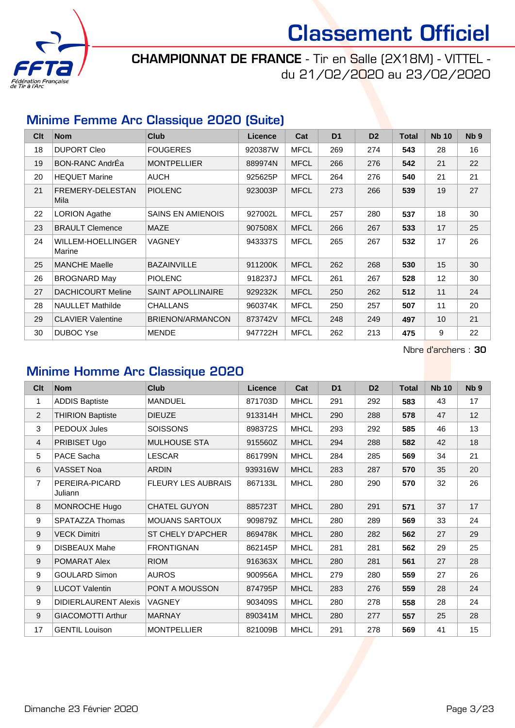

CHAMPIONNAT DE FRANCE - Tir en Salle (2X18M) - VITTEL du 21/02/2020 au 23/02/2020

#### Minime Femme Arc Classique 2020 (Suite)

| Clt | <b>Nom</b>                  | <b>Club</b>              | <b>Licence</b> | Cat         | D <sub>1</sub> | D <sub>2</sub> | <b>Total</b> | <b>Nb 10</b> | N <sub>b</sub> <sub>9</sub> |
|-----|-----------------------------|--------------------------|----------------|-------------|----------------|----------------|--------------|--------------|-----------------------------|
| 18  | <b>DUPORT Cleo</b>          | <b>FOUGERES</b>          | 920387W        | <b>MFCL</b> | 269            | 274            | 543          | 28           | 16                          |
| 19  | <b>BON-RANC AndrEa</b>      | <b>MONTPELLIER</b>       | 889974N        | <b>MFCL</b> | 266            | 276            | 542          | 21           | 22                          |
| 20  | <b>HEQUET Marine</b>        | <b>AUCH</b>              | 925625P        | <b>MFCL</b> | 264            | 276            | 540          | 21           | 21                          |
| 21  | FREMERY-DELESTAN<br>Mila    | <b>PIOLENC</b>           | 923003P        | <b>MFCL</b> | 273            | 266            | 539          | 19           | 27                          |
| 22  | <b>LORION Agathe</b>        | <b>SAINS EN AMIENOIS</b> | 927002L        | <b>MFCL</b> | 257            | 280            | 537          | 18           | 30                          |
| 23  | <b>BRAULT Clemence</b>      | <b>MAZE</b>              | 907508X        | <b>MFCL</b> | 266            | 267            | 533          | 17           | 25                          |
| 24  | WILLEM-HOELLINGER<br>Marine | <b>VAGNEY</b>            | 943337S        | <b>MFCL</b> | 265            | 267            | 532          | 17           | 26                          |
| 25  | <b>MANCHE Maelle</b>        | <b>BAZAINVILLE</b>       | 911200K        | <b>MFCL</b> | 262            | 268            | 530          | 15           | 30                          |
| 26  | <b>BROGNARD May</b>         | <b>PIOLENC</b>           | 918237J        | <b>MFCL</b> | 261            | 267            | 528          | 12           | 30                          |
| 27  | <b>DACHICOURT Meline</b>    | <b>SAINT APOLLINAIRE</b> | 929232K        | <b>MFCL</b> | 250            | 262            | 512          | 11           | 24                          |
| 28  | <b>NAULLET Mathilde</b>     | <b>CHALLANS</b>          | 960374K        | <b>MFCL</b> | 250            | 257            | 507          | 11           | 20                          |
| 29  | <b>CLAVIER Valentine</b>    | BRIENON/ARMANCON         | 873742V        | <b>MFCL</b> | 248            | 249            | 497          | 10           | 21                          |
| 30  | <b>DUBOC Yse</b>            | <b>MENDE</b>             | 947722H        | <b>MFCL</b> | 262            | 213            | 475          | 9            | 22                          |

Nbre d'archers : 30

#### Minime Homme Arc Classique 2020

| C <sub>it</sub> | <b>Nom</b>                  | <b>Club</b>               | Licence | Cat         | D <sub>1</sub> | D <sub>2</sub> | <b>Total</b> | <b>Nb 10</b> | N <sub>b</sub> <sub>9</sub> |
|-----------------|-----------------------------|---------------------------|---------|-------------|----------------|----------------|--------------|--------------|-----------------------------|
| 1               | <b>ADDIS Baptiste</b>       | <b>MANDUEL</b>            | 871703D | <b>MHCL</b> | 291            | 292            | 583          | 43           | 17                          |
| $\overline{2}$  | <b>THIRION Baptiste</b>     | <b>DIEUZE</b>             | 913314H | <b>MHCL</b> | 290            | 288            | 578          | 47           | 12                          |
| 3               | PEDOUX Jules                | <b>SOISSONS</b>           | 898372S | <b>MHCL</b> | 293            | 292            | 585          | 46           | 13                          |
| $\overline{4}$  | PRIBISET Ugo                | <b>MULHOUSE STA</b>       | 915560Z | <b>MHCL</b> | 294            | 288            | 582          | 42           | 18                          |
| 5               | PACE Sacha                  | LESCAR                    | 861799N | <b>MHCL</b> | 284            | 285            | 569          | 34           | 21                          |
| 6               | <b>VASSET Noa</b>           | <b>ARDIN</b>              | 939316W | <b>MHCL</b> | 283            | 287            | 570          | 35           | 20                          |
| $\overline{7}$  | PEREIRA-PICARD<br>Juliann   | <b>FLEURY LES AUBRAIS</b> | 867133L | <b>MHCL</b> | 280            | 290            | 570          | 32           | 26                          |
| 8               | MONROCHE Hugo               | <b>CHATEL GUYON</b>       | 885723T | <b>MHCL</b> | 280            | 291            | 571          | 37           | 17                          |
| 9               | <b>SPATAZZA Thomas</b>      | <b>MOUANS SARTOUX</b>     | 909879Z | <b>MHCL</b> | 280            | 289            | 569          | 33           | 24                          |
| 9               | <b>VECK Dimitri</b>         | ST CHELY D'APCHER         | 869478K | <b>MHCL</b> | 280            | 282            | 562          | 27           | 29                          |
| 9               | <b>DISBEAUX Mahe</b>        | <b>FRONTIGNAN</b>         | 862145P | <b>MHCL</b> | 281            | 281            | 562          | 29           | 25                          |
| 9               | POMARAT Alex                | <b>RIOM</b>               | 916363X | <b>MHCL</b> | 280            | 281            | 561          | 27           | 28                          |
| 9               | <b>GOULARD Simon</b>        | <b>AUROS</b>              | 900956A | <b>MHCL</b> | 279            | 280            | 559          | 27           | 26                          |
| 9               | <b>LUCOT Valentin</b>       | PONT A MOUSSON            | 874795P | <b>MHCL</b> | 283            | 276            | 559          | 28           | 24                          |
| 9               | <b>DIDIERLAURENT Alexis</b> | VAGNEY                    | 903409S | <b>MHCL</b> | 280            | 278            | 558          | 28           | 24                          |
| 9               | <b>GIACOMOTTI Arthur</b>    | <b>MARNAY</b>             | 890341M | <b>MHCL</b> | 280            | 277            | 557          | 25           | 28                          |
| 17              | <b>GENTIL Louison</b>       | <b>MONTPELLIER</b>        | 821009B | <b>MHCL</b> | 291            | 278            | 569          | 41           | 15                          |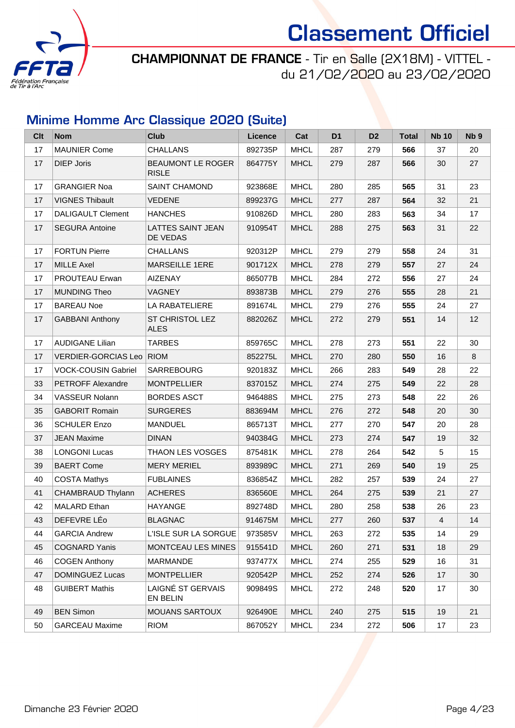

CHAMPIONNAT DE FRANCE - Tir en Salle (2X18M) - VITTEL du 21/02/2020 au 23/02/2020

### Minime Homme Arc Classique 2020 (Suite)

| <b>Clt</b> | <b>Nom</b>                 | <b>Club</b>                          | Licence | Cat         | D <sub>1</sub> | D <sub>2</sub> | <b>Total</b> | <b>Nb 10</b> | Nb <sub>9</sub> |
|------------|----------------------------|--------------------------------------|---------|-------------|----------------|----------------|--------------|--------------|-----------------|
| 17         | <b>MAUNIER Come</b>        | <b>CHALLANS</b>                      | 892735P | <b>MHCL</b> | 287            | 279            | 566          | 37           | 20              |
| 17         | <b>DIEP Joris</b>          | BEAUMONT LE ROGER<br><b>RISLE</b>    | 864775Y | <b>MHCL</b> | 279            | 287            | 566          | 30           | 27              |
| 17         | <b>GRANGIER Noa</b>        | <b>SAINT CHAMOND</b>                 | 923868E | <b>MHCL</b> | 280            | 285            | 565          | 31           | 23              |
| 17         | <b>VIGNES Thibault</b>     | <b>VEDENE</b>                        | 899237G | <b>MHCL</b> | 277            | 287            | 564          | 32           | 21              |
| 17         | <b>DALIGAULT Clement</b>   | <b>HANCHES</b>                       | 910826D | <b>MHCL</b> | 280            | 283            | 563          | 34           | 17              |
| 17         | <b>SEGURA Antoine</b>      | <b>LATTES SAINT JEAN</b><br>DE VEDAS | 910954T | <b>MHCL</b> | 288            | 275            | 563          | 31           | 22              |
| 17         | <b>FORTUN Pierre</b>       | <b>CHALLANS</b>                      | 920312P | <b>MHCL</b> | 279            | 279            | 558          | 24           | 31              |
| 17         | <b>MILLE Axel</b>          | <b>MARSEILLE 1ERE</b>                | 901712X | <b>MHCL</b> | 278            | 279            | 557          | 27           | 24              |
| 17         | PROUTEAU Erwan             | <b>AIZENAY</b>                       | 865077B | <b>MHCL</b> | 284            | 272            | 556          | 27           | 24              |
| 17         | <b>MUNDING Theo</b>        | <b>VAGNEY</b>                        | 893873B | <b>MHCL</b> | 279            | 276            | 555          | 28           | 21              |
| 17         | <b>BAREAU Noe</b>          | LA RABATELIERE                       | 891674L | <b>MHCL</b> | 279            | 276            | 555          | 24           | 27              |
| 17         | <b>GABBANI Anthony</b>     | ST CHRISTOL LEZ<br><b>ALES</b>       | 882026Z | <b>MHCL</b> | 272            | 279            | 551          | 14           | 12              |
| 17         | <b>AUDIGANE Lilian</b>     | <b>TARBES</b>                        | 859765C | <b>MHCL</b> | 278            | 273            | 551          | 22           | 30              |
| 17         | VERDIER-GORCIAS Leo RIOM   |                                      | 852275L | <b>MHCL</b> | 270            | 280            | 550          | 16           | 8               |
| 17         | <b>VOCK-COUSIN Gabriel</b> | <b>SARREBOURG</b>                    | 920183Z | <b>MHCL</b> | 266            | 283            | 549          | 28           | 22              |
| 33         | PETROFF Alexandre          | <b>MONTPELLIER</b>                   | 837015Z | <b>MHCL</b> | 274            | 275            | 549          | 22           | 28              |
| 34         | VASSEUR Nolann             | <b>BORDES ASCT</b>                   | 946488S | <b>MHCL</b> | 275            | 273            | 548          | 22           | 26              |
| 35         | <b>GABORIT Romain</b>      | <b>SURGERES</b>                      | 883694M | <b>MHCL</b> | 276            | 272            | 548          | 20           | 30              |
| 36         | <b>SCHULER Enzo</b>        | <b>MANDUEL</b>                       | 865713T | <b>MHCL</b> | 277            | 270            | 547          | 20           | 28              |
| 37         | <b>JEAN Maxime</b>         | <b>DINAN</b>                         | 940384G | <b>MHCL</b> | 273            | 274            | 547          | 19           | 32              |
| 38         | <b>LONGONI Lucas</b>       | THAON LES VOSGES                     | 875481K | <b>MHCL</b> | 278            | 264            | 542          | 5            | 15              |
| 39         | <b>BAERT Come</b>          | <b>MERY MERIEL</b>                   | 893989C | <b>MHCL</b> | 271            | 269            | 540          | 19           | 25              |
| 40         | <b>COSTA Mathys</b>        | <b>FUBLAINES</b>                     | 836854Z | <b>MHCL</b> | 282            | 257            | 539          | 24           | 27              |
| 41         | CHAMBRAUD Thylann          | <b>ACHERES</b>                       | 836560E | <b>MHCL</b> | 264            | 275            | 539          | 21           | 27              |
| 42         | MALARD Ethan               | <b>HAYANGE</b>                       | 892748D | <b>MHCL</b> | 280            | 258            | 538          | 26           | 23              |
| 43         | DEFEVRE LÉo                | <b>BLAGNAC</b>                       | 914675M | <b>MHCL</b> | 277            | 260            | 537          | 4            | 14              |
| 44         | <b>GARCIA Andrew</b>       | L'ISLE SUR LA SORGUE                 | 973585V | <b>MHCL</b> | 263            | 272            | 535          | 14           | 29              |
| 45         | <b>COGNARD Yanis</b>       | <b>MONTCEAU LES MINES</b>            | 915541D | <b>MHCL</b> | 260            | 271            | 531          | 18           | 29              |
| 46         | <b>COGEN Anthony</b>       | MARMANDE                             | 937477X | <b>MHCL</b> | 274            | 255            | 529          | 16           | 31              |
| 47         | DOMINGUEZ Lucas            | <b>MONTPELLIER</b>                   | 920542P | <b>MHCL</b> | 252            | 274            | 526          | 17           | 30              |
| 48         | <b>GUIBERT Mathis</b>      | LAIGNÉ ST GERVAIS<br>EN BELIN        | 909849S | MHCL        | 272            | 248            | 520          | 17           | 30              |
| 49         | <b>BEN Simon</b>           | <b>MOUANS SARTOUX</b>                | 926490E | <b>MHCL</b> | 240            | 275            | 515          | 19           | 21              |
| 50         | <b>GARCEAU Maxime</b>      | <b>RIOM</b>                          | 867052Y | <b>MHCL</b> | 234            | 272            | 506          | 17           | 23              |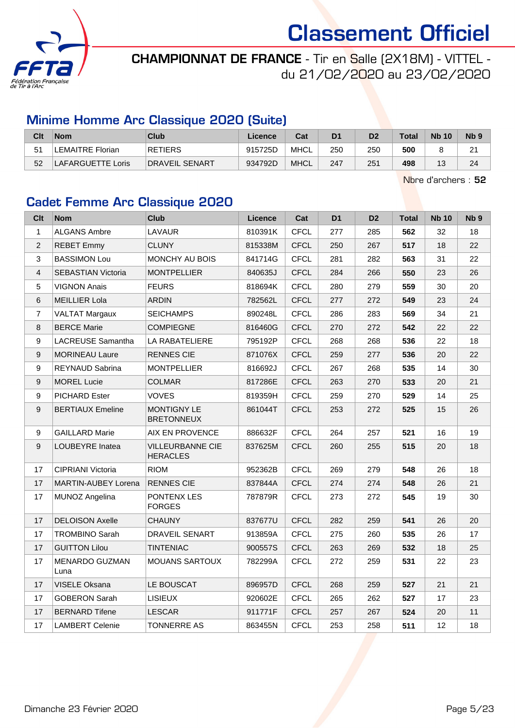

### CHAMPIONNAT DE FRANCE - Tir en Salle (2X18M) - VITTEL du 21/02/2020 au 23/02/2020

#### Minime Homme Arc Classique 2020 (Suite)

| Clt | <b>Nom</b>               | Club                  | Licence | Cat         | D1  | D2  | <b>Total</b> | <b>Nb 10</b> | N <sub>b</sub> <sub>9</sub> |
|-----|--------------------------|-----------------------|---------|-------------|-----|-----|--------------|--------------|-----------------------------|
| 51  | LEMAITRE Florian         | <b>RETIERS</b>        | 915725D | <b>MHCL</b> | 250 | 250 | 500          |              | ີ<br>$\epsilon$             |
| 52  | <b>LAFARGUETTE Loris</b> | <b>DRAVEIL SENART</b> | 934792D | <b>MHCL</b> | 247 | 251 | 498          | ں ا          | 24                          |

Nbre d'archers : 52

#### Cadet Femme Arc Classique 2020

| Clt            | <b>Nom</b>                 | <b>Club</b>                                | Licence | Cat         | D <sub>1</sub> | D <sub>2</sub> | <b>Total</b> | <b>Nb 10</b> | Nb <sub>9</sub> |
|----------------|----------------------------|--------------------------------------------|---------|-------------|----------------|----------------|--------------|--------------|-----------------|
| $\mathbf{1}$   | <b>ALGANS Ambre</b>        | <b>LAVAUR</b>                              | 810391K | <b>CFCL</b> | 277            | 285            | 562          | 32           | 18              |
| $\overline{2}$ | <b>REBET Emmy</b>          | <b>CLUNY</b>                               | 815338M | <b>CFCL</b> | 250            | 267            | 517          | 18           | 22              |
| 3              | <b>BASSIMON Lou</b>        | MONCHY AU BOIS                             | 841714G | <b>CFCL</b> | 281            | 282            | 563          | 31           | 22              |
| $\overline{4}$ | SEBASTIAN Victoria         | <b>MONTPELLIER</b>                         | 840635J | <b>CFCL</b> | 284            | 266            | 550          | 23           | 26              |
| 5              | <b>VIGNON Anais</b>        | <b>FEURS</b>                               | 818694K | <b>CFCL</b> | 280            | 279            | 559          | 30           | 20              |
| 6              | <b>MEILLIER Lola</b>       | <b>ARDIN</b>                               | 782562L | <b>CFCL</b> | 277            | 272            | 549          | 23           | 24              |
| $\overline{7}$ | <b>VALTAT Margaux</b>      | <b>SEICHAMPS</b>                           | 890248L | <b>CFCL</b> | 286            | 283            | 569          | 34           | 21              |
| 8              | <b>BERCE Marie</b>         | <b>COMPIEGNE</b>                           | 816460G | <b>CFCL</b> | 270            | 272            | 542          | 22           | 22              |
| 9              | LACREUSE Samantha          | LA RABATELIERE                             | 795192P | <b>CFCL</b> | 268            | 268            | 536          | 22           | 18              |
| 9              | <b>MORINEAU Laure</b>      | <b>RENNES CIE</b>                          | 871076X | <b>CFCL</b> | 259            | 277            | 536          | 20           | 22              |
| 9              | REYNAUD Sabrina            | <b>MONTPELLIER</b>                         | 816692J | <b>CFCL</b> | 267            | 268            | 535          | 14           | 30              |
| 9              | <b>MOREL Lucie</b>         | <b>COLMAR</b>                              | 817286E | <b>CFCL</b> | 263            | 270            | 533          | 20           | 21              |
| 9              | <b>PICHARD Ester</b>       | <b>VOVES</b>                               | 819359H | <b>CFCL</b> | 259            | 270            | 529          | 14           | 25              |
| 9              | <b>BERTIAUX Emeline</b>    | MONTIGNY LE<br><b>BRETONNEUX</b>           | 861044T | <b>CFCL</b> | 253            | 272            | 525          | 15           | 26              |
| 9              | <b>GAILLARD Marie</b>      | AIX EN PROVENCE                            | 886632F | <b>CFCL</b> | 264            | 257            | 521          | 16           | 19              |
| 9              | LOUBEYRE Inatea            | <b>VILLEURBANNE CIE</b><br><b>HERACLES</b> | 837625M | <b>CFCL</b> | 260            | 255            | 515          | 20           | 18              |
| 17             | CIPRIANI Victoria          | <b>RIOM</b>                                | 952362B | <b>CFCL</b> | 269            | 279            | 548          | 26           | 18              |
| 17             | <b>MARTIN-AUBEY Lorena</b> | <b>RENNES CIE</b>                          | 837844A | <b>CFCL</b> | 274            | 274            | 548          | 26           | 21              |
| 17             | MUNOZ Angelina             | PONTENX LES<br><b>FORGES</b>               | 787879R | <b>CFCL</b> | 273            | 272            | 545          | 19           | 30              |
| 17             | <b>DELOISON Axelle</b>     | <b>CHAUNY</b>                              | 837677U | <b>CFCL</b> | 282            | 259            | 541          | 26           | 20              |
| 17             | TROMBINO Sarah             | DRAVEIL SENART                             | 913859A | <b>CFCL</b> | 275            | 260            | 535          | 26           | 17              |
| 17             | <b>GUITTON Lilou</b>       | <b>TINTENIAC</b>                           | 900557S | <b>CFCL</b> | 263            | 269            | 532          | 18           | 25              |
| 17             | MENARDO GUZMAN<br>Luna     | <b>MOUANS SARTOUX</b>                      | 782299A | <b>CFCL</b> | 272            | 259            | 531          | 22           | 23              |
| 17             | VISELE Oksana              | LE BOUSCAT                                 | 896957D | <b>CFCL</b> | 268            | 259            | 527          | 21           | 21              |
| 17             | <b>GOBERON Sarah</b>       | <b>LISIEUX</b>                             | 920602E | <b>CFCL</b> | 265            | 262            | 527          | 17           | 23              |
| 17             | <b>BERNARD Tifene</b>      | <b>LESCAR</b>                              | 911771F | <b>CFCL</b> | 257            | 267            | 524          | 20           | 11              |
| 17             | <b>LAMBERT Celenie</b>     | <b>TONNERRE AS</b>                         | 863455N | <b>CFCL</b> | 253            | 258            | 511          | 12           | 18              |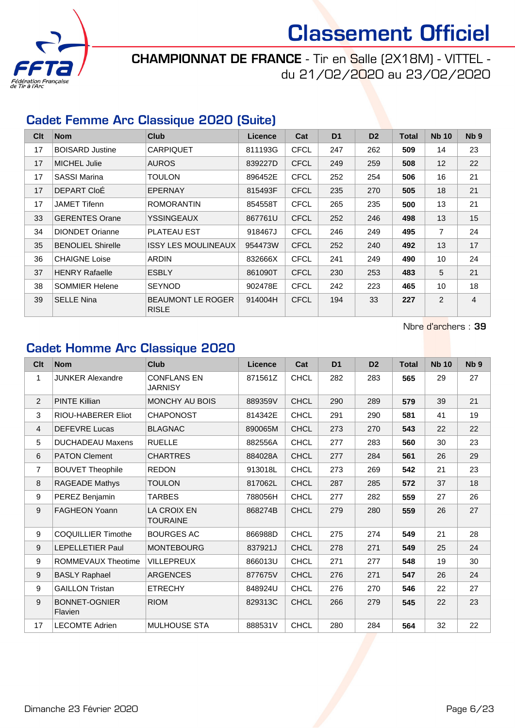

CHAMPIONNAT DE FRANCE - Tir en Salle (2X18M) - VITTEL du 21/02/2020 au 23/02/2020

#### Cadet Femme Arc Classique 2020 (Suite)

| Clt | <b>Nom</b>               | <b>Club</b>                              | Licence | Cat         | D <sub>1</sub> | D <sub>2</sub> | <b>Total</b> | <b>Nb 10</b>   | N <sub>b</sub> <sub>9</sub> |
|-----|--------------------------|------------------------------------------|---------|-------------|----------------|----------------|--------------|----------------|-----------------------------|
| 17  | <b>BOISARD Justine</b>   | <b>CARPIQUET</b>                         | 811193G | <b>CFCL</b> | 247            | 262            | 509          | 14             | 23                          |
| 17  | <b>MICHEL Julie</b>      | <b>AUROS</b>                             | 839227D | <b>CFCL</b> | 249            | 259            | 508          | 12             | 22                          |
| 17  | <b>SASSI Marina</b>      | <b>TOULON</b>                            | 896452E | <b>CFCL</b> | 252            | 254            | 506          | 16             | 21                          |
| 17  | DEPART CloE              | <b>EPERNAY</b>                           | 815493F | <b>CFCL</b> | 235            | 270            | 505          | 18             | 21                          |
| 17  | <b>JAMET Tifenn</b>      | <b>ROMORANTIN</b>                        | 854558T | <b>CFCL</b> | 265            | 235            | 500          | 13             | 21                          |
| 33  | <b>GERENTES Orane</b>    | <b>YSSINGEAUX</b>                        | 867761U | <b>CFCL</b> | 252            | 246            | 498          | 13             | 15                          |
| 34  | <b>DIONDET Orianne</b>   | <b>PLATEAU EST</b>                       | 918467J | <b>CFCL</b> | 246            | 249            | 495          | $\overline{7}$ | 24                          |
| 35  | <b>BENOLIEL Shirelle</b> | <b>ISSY LES MOULINEAUX</b>               | 954473W | <b>CFCL</b> | 252            | 240            | 492          | 13             | 17                          |
| 36  | <b>CHAIGNE Loise</b>     | ARDIN                                    | 832666X | <b>CFCL</b> | 241            | 249            | 490          | 10             | 24                          |
| 37  | <b>HENRY Rafaelle</b>    | <b>ESBLY</b>                             | 861090T | <b>CFCL</b> | 230            | 253            | 483          | 5              | 21                          |
| 38  | <b>SOMMIER Helene</b>    | <b>SEYNOD</b>                            | 902478E | <b>CFCL</b> | 242            | 223            | 465          | 10             | 18                          |
| 39  | <b>SELLE Nina</b>        | <b>BEAUMONT LE ROGER</b><br><b>RISLE</b> | 914004H | <b>CFCL</b> | 194            | 33             | 227          | 2              | $\overline{4}$              |

Nbre d'archers : 39

### Cadet Homme Arc Classique 2020

| Clt            | <b>Nom</b>                      | Club                                  | <b>Licence</b> | Cat         | D <sub>1</sub> | D <sub>2</sub> | <b>Total</b> | <b>Nb 10</b> | N <sub>b</sub> <sub>9</sub> |
|----------------|---------------------------------|---------------------------------------|----------------|-------------|----------------|----------------|--------------|--------------|-----------------------------|
| $\mathbf{1}$   | <b>JUNKER Alexandre</b>         | <b>CONFLANS EN</b><br><b>JARNISY</b>  | 871561Z        | <b>CHCL</b> | 282            | 283            | 565          | 29           | 27                          |
| $\overline{2}$ | <b>PINTE Killian</b>            | MONCHY AU BOIS                        | 889359V        | <b>CHCL</b> | 290            | 289            | 579          | 39           | 21                          |
| 3              | RIOU-HABERER Eliot              | <b>CHAPONOST</b>                      | 814342E        | <b>CHCL</b> | 291            | 290            | 581          | 41           | 19                          |
| $\overline{4}$ | <b>DEFEVRE Lucas</b>            | <b>BLAGNAC</b>                        | 890065M        | <b>CHCL</b> | 273            | 270            | 543          | 22           | 22                          |
| 5              | <b>DUCHADEAU Maxens</b>         | <b>RUELLE</b>                         | 882556A        | <b>CHCL</b> | 277            | 283            | 560          | 30           | 23                          |
| 6              | <b>PATON Clement</b>            | <b>CHARTRES</b>                       | 884028A        | <b>CHCL</b> | 277            | 284            | 561          | 26           | 29                          |
| $\overline{7}$ | <b>BOUVET Theophile</b>         | <b>REDON</b>                          | 913018L        | <b>CHCL</b> | 273            | 269            | 542          | 21           | 23                          |
| 8              | RAGEADE Mathys                  | <b>TOULON</b>                         | 817062L        | <b>CHCL</b> | 287            | 285            | 572          | 37           | 18                          |
| 9              | PEREZ Benjamin                  | <b>TARBES</b>                         | 788056H        | <b>CHCL</b> | 277            | 282            | 559          | 27           | 26                          |
| 9              | <b>FAGHEON Yoann</b>            | <b>LA CROIX EN</b><br><b>TOURAINE</b> | 868274B        | <b>CHCL</b> | 279            | 280            | 559          | 26           | 27                          |
| 9              | <b>COQUILLIER Timothe</b>       | <b>BOURGES AC</b>                     | 866988D        | <b>CHCL</b> | 275            | 274            | 549          | 21           | 28                          |
| 9              | <b>LEPELLETIER Paul</b>         | <b>MONTEBOURG</b>                     | 837921J        | <b>CHCL</b> | 278            | 271            | 549          | 25           | 24                          |
| 9              | ROMMEVAUX Theotime              | <b>VILLEPREUX</b>                     | 866013U        | <b>CHCL</b> | 271            | 277            | 548          | 19           | 30                          |
| 9              | <b>BASLY Raphael</b>            | <b>ARGENCES</b>                       | 877675V        | <b>CHCL</b> | 276            | 271            | 547          | 26           | 24                          |
| 9              | <b>GAILLON Tristan</b>          | <b>ETRECHY</b>                        | 848924U        | <b>CHCL</b> | 276            | 270            | 546          | 22           | 27                          |
| 9              | <b>BONNET-OGNIER</b><br>Flavien | <b>RIOM</b>                           | 829313C        | <b>CHCL</b> | 266            | 279            | 545          | 22           | 23                          |
| 17             | <b>LECOMTE Adrien</b>           | <b>MULHOUSE STA</b>                   | 888531V        | <b>CHCL</b> | 280            | 284            | 564          | 32           | 22                          |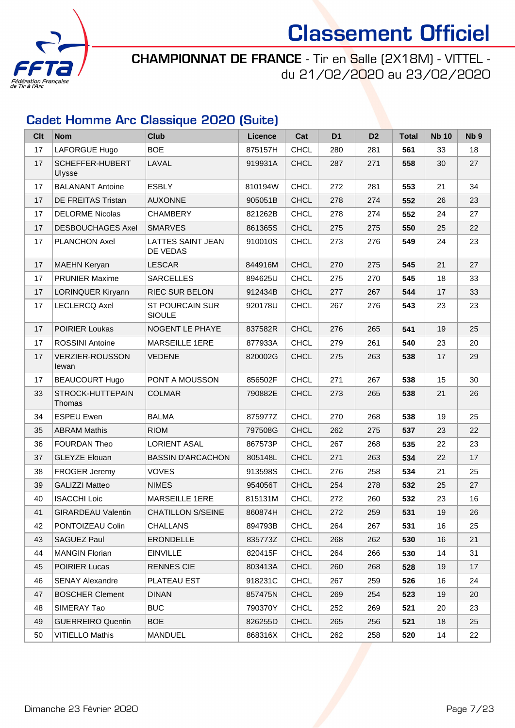

CHAMPIONNAT DE FRANCE - Tir en Salle (2X18M) - VITTEL du 21/02/2020 au 23/02/2020

### Cadet Homme Arc Classique 2020 (Suite)

| Clt | <b>Nom</b>                      | <b>Club</b>                             | Licence | Cat         | D <sub>1</sub> | D <sub>2</sub> | <b>Total</b> | <b>Nb 10</b> | Nb <sub>9</sub> |
|-----|---------------------------------|-----------------------------------------|---------|-------------|----------------|----------------|--------------|--------------|-----------------|
| 17  | LAFORGUE Hugo                   | <b>BOE</b>                              | 875157H | <b>CHCL</b> | 280            | 281            | 561          | 33           | 18              |
| 17  | SCHEFFER-HUBERT<br>Ulysse       | LAVAL                                   | 919931A | <b>CHCL</b> | 287            | 271            | 558          | 30           | 27              |
| 17  | <b>BALANANT Antoine</b>         | <b>ESBLY</b>                            | 810194W | <b>CHCL</b> | 272            | 281            | 553          | 21           | 34              |
| 17  | DE FREITAS Tristan              | <b>AUXONNE</b>                          | 905051B | <b>CHCL</b> | 278            | 274            | 552          | 26           | 23              |
| 17  | <b>DELORME Nicolas</b>          | <b>CHAMBERY</b>                         | 821262B | <b>CHCL</b> | 278            | 274            | 552          | 24           | 27              |
| 17  | <b>DESBOUCHAGES Axel</b>        | <b>SMARVES</b>                          | 861365S | <b>CHCL</b> | 275            | 275            | 550          | 25           | 22              |
| 17  | <b>PLANCHON Axel</b>            | LATTES SAINT JEAN<br>DE VEDAS           | 910010S | <b>CHCL</b> | 273            | 276            | 549          | 24           | 23              |
| 17  | <b>MAEHN Keryan</b>             | <b>LESCAR</b>                           | 844916M | <b>CHCL</b> | 270            | 275            | 545          | 21           | 27              |
| 17  | <b>PRUNIER Maxime</b>           | <b>SARCELLES</b>                        | 894625U | <b>CHCL</b> | 275            | 270            | 545          | 18           | 33              |
| 17  | LORINQUER Kiryann               | <b>RIEC SUR BELON</b>                   | 912434B | <b>CHCL</b> | 277            | 267            | 544          | 17           | 33              |
| 17  | <b>LECLERCQ Axel</b>            | <b>ST POURCAIN SUR</b><br><b>SIOULE</b> | 920178U | <b>CHCL</b> | 267            | 276            | 543          | 23           | 23              |
| 17  | <b>POIRIER Loukas</b>           | NOGENT LE PHAYE                         | 837582R | <b>CHCL</b> | 276            | 265            | 541          | 19           | 25              |
| 17  | <b>ROSSINI Antoine</b>          | <b>MARSEILLE 1ERE</b>                   | 877933A | <b>CHCL</b> | 279            | 261            | 540          | 23           | 20              |
| 17  | <b>VERZIER-ROUSSON</b><br>lewan | <b>VEDENE</b>                           | 820002G | <b>CHCL</b> | 275            | 263            | 538          | 17           | 29              |
| 17  | <b>BEAUCOURT Hugo</b>           | PONT A MOUSSON                          | 856502F | <b>CHCL</b> | 271            | 267            | 538          | 15           | 30              |
| 33  | STROCK-HUTTEPAIN<br>Thomas      | <b>COLMAR</b>                           | 790882E | <b>CHCL</b> | 273            | 265            | 538          | 21           | 26              |
| 34  | <b>ESPEU Ewen</b>               | <b>BALMA</b>                            | 875977Z | <b>CHCL</b> | 270            | 268            | 538          | 19           | 25              |
| 35  | <b>ABRAM Mathis</b>             | <b>RIOM</b>                             | 797508G | <b>CHCL</b> | 262            | 275            | 537          | 23           | 22              |
| 36  | <b>FOURDAN Theo</b>             | <b>LORIENT ASAL</b>                     | 867573P | <b>CHCL</b> | 267            | 268            | 535          | 22           | 23              |
| 37  | <b>GLEYZE Elouan</b>            | <b>BASSIN D'ARCACHON</b>                | 805148L | <b>CHCL</b> | 271            | 263            | 534          | 22           | 17              |
| 38  | FROGER Jeremy                   | <b>VOVES</b>                            | 913598S | <b>CHCL</b> | 276            | 258            | 534          | 21           | 25              |
| 39  | <b>GALIZZI Matteo</b>           | <b>NIMES</b>                            | 954056T | <b>CHCL</b> | 254            | 278            | 532          | 25           | 27              |
| 40  | <b>ISACCHI Loic</b>             | <b>MARSEILLE 1ERE</b>                   | 815131M | <b>CHCL</b> | 272            | 260            | 532          | 23           | 16              |
| 41  | <b>GIRARDEAU Valentin</b>       | <b>CHATILLON S/SEINE</b>                | 860874H | <b>CHCL</b> | 272            | 259            | 531          | 19           | 26              |
| 42  | PONTOIZEAU Colin                | <b>CHALLANS</b>                         | 894793B | <b>CHCL</b> | 264            | 267            | 531          | 16           | 25              |
| 43  | <b>SAGUEZ Paul</b>              | <b>ERONDELLE</b>                        | 835773Z | <b>CHCL</b> | 268            | 262            | 530          | 16           | 21              |
| 44  | <b>MANGIN Florian</b>           | <b>EINVILLE</b>                         | 820415F | <b>CHCL</b> | 264            | 266            | 530          | 14           | 31              |
| 45  | <b>POIRIER Lucas</b>            | <b>RENNES CIE</b>                       | 803413A | <b>CHCL</b> | 260            | 268            | 528          | 19           | 17              |
| 46  | <b>SENAY Alexandre</b>          | PLATEAU EST                             | 918231C | <b>CHCL</b> | 267            | 259            | 526          | 16           | 24              |
| 47  | <b>BOSCHER Clement</b>          | <b>DINAN</b>                            | 857475N | <b>CHCL</b> | 269            | 254            | 523          | 19           | 20              |
| 48  | SIMERAY Tao                     | <b>BUC</b>                              | 790370Y | <b>CHCL</b> | 252            | 269            | 521          | 20           | 23              |
| 49  | <b>GUERREIRO Quentin</b>        | <b>BOE</b>                              | 826255D | <b>CHCL</b> | 265            | 256            | 521          | 18           | 25              |
| 50  | <b>VITIELLO Mathis</b>          | MANDUEL                                 | 868316X | <b>CHCL</b> | 262            | 258            | 520          | 14           | 22              |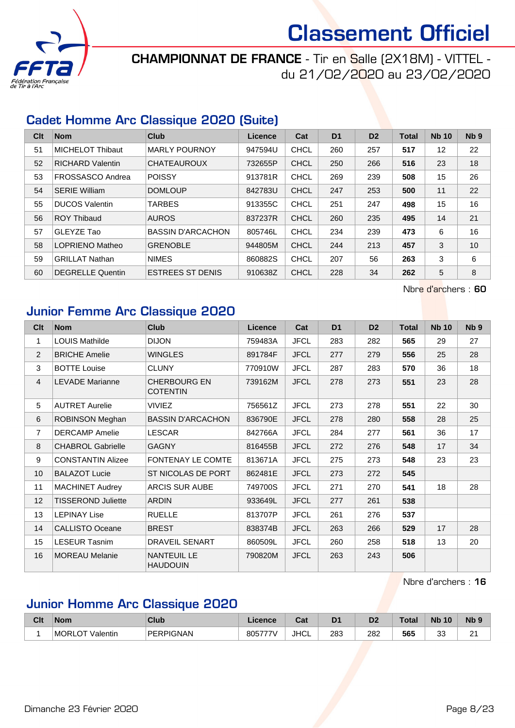

### CHAMPIONNAT DE FRANCE - Tir en Salle (2X18M) - VITTEL du 21/02/2020 au 23/02/2020

#### Cadet Homme Arc Classique 2020 (Suite)

| Clt | <b>Nom</b>              | <b>Club</b>              | Licence | Cat         | D <sub>1</sub> | D <sub>2</sub> | <b>Total</b> | <b>Nb 10</b> | Nb <sub>9</sub> |
|-----|-------------------------|--------------------------|---------|-------------|----------------|----------------|--------------|--------------|-----------------|
| 51  | <b>MICHELOT Thibaut</b> | <b>MARLY POURNOY</b>     | 947594U | CHCL        | 260            | 257            | 517          | 12           | 22              |
| 52  | <b>RICHARD Valentin</b> | <b>CHATEAUROUX</b>       | 732655P | <b>CHCL</b> | 250            | 266            | 516          | 23           | 18              |
| 53  | FROSSASCO Andrea        | <b>POISSY</b>            | 913781R | <b>CHCL</b> | 269            | 239            | 508          | 15           | 26              |
| 54  | <b>SERIE William</b>    | <b>DOMLOUP</b>           | 842783U | <b>CHCL</b> | 247            | 253            | 500          | 11           | 22              |
| 55  | <b>DUCOS Valentin</b>   | <b>TARBES</b>            | 913355C | <b>CHCL</b> | 251            | 247            | 498          | 15           | 16              |
| 56  | <b>ROY Thibaud</b>      | <b>AUROS</b>             | 837237R | <b>CHCL</b> | 260            | 235            | 495          | 14           | 21              |
| 57  | GLEYZE Tao              | <b>BASSIN D'ARCACHON</b> | 805746L | <b>CHCL</b> | 234            | 239            | 473          | 6            | 16              |
| 58  | <b>LOPRIENO Matheo</b>  | <b>GRENOBLE</b>          | 944805M | <b>CHCL</b> | 244            | 213            | 457          | 3            | 10              |
| 59  | <b>GRILLAT Nathan</b>   | <b>NIMES</b>             | 860882S | <b>CHCL</b> | 207            | 56             | 263          | 3            | 6               |
| 60  | <b>DEGRELLE Quentin</b> | <b>ESTREES ST DENIS</b>  | 910638Z | <b>CHCL</b> | 228            | 34             | 262          | 5            | 8               |

Nbre d'archers : 60

#### Junior Femme Arc Classique 2020

| Cl <sub>t</sub>  | <b>Nom</b>                | <b>Club</b>                            | Licence | Cat         | D <sub>1</sub> | D <sub>2</sub> | <b>Total</b> | <b>Nb 10</b> | N <sub>b</sub> <sub>9</sub> |
|------------------|---------------------------|----------------------------------------|---------|-------------|----------------|----------------|--------------|--------------|-----------------------------|
| 1                | <b>LOUIS Mathilde</b>     | <b>DIJON</b>                           | 759483A | <b>JFCL</b> | 283            | 282            | 565          | 29           | 27                          |
| 2                | <b>BRICHE Amelie</b>      | <b>WINGLES</b>                         | 891784F | <b>JFCL</b> | 277            | 279            | 556          | 25           | 28                          |
| 3                | <b>BOTTE Louise</b>       | <b>CLUNY</b>                           | 770910W | <b>JFCL</b> | 287            | 283            | 570          | 36           | 18                          |
| $\overline{4}$   | <b>LEVADE Marianne</b>    | <b>CHERBOURG EN</b><br><b>COTENTIN</b> | 739162M | <b>JFCL</b> | 278            | 273            | 551          | 23           | 28                          |
| 5                | <b>AUTRET Aurelie</b>     | <b>VIVIEZ</b>                          | 756561Z | <b>JFCL</b> | 273            | 278            | 551          | 22           | 30                          |
| 6                | ROBINSON Meghan           | <b>BASSIN D'ARCACHON</b>               | 836790E | <b>JFCL</b> | 278            | 280            | 558          | 28           | 25                          |
| $\overline{7}$   | <b>DERCAMP</b> Amelie     | <b>LESCAR</b>                          | 842766A | <b>JFCL</b> | 284            | 277            | 561          | 36           | 17                          |
| 8                | <b>CHABROL Gabrielle</b>  | <b>GAGNY</b>                           | 816455B | <b>JFCL</b> | 272            | 276            | 548          | 17           | 34                          |
| $\boldsymbol{9}$ | <b>CONSTANTIN Alizee</b>  | <b>FONTENAY LE COMTE</b>               | 813671A | <b>JFCL</b> | 275            | 273            | 548          | 23           | 23                          |
| 10               | <b>BALAZOT Lucie</b>      | ST NICOLAS DE PORT                     | 862481E | <b>JFCL</b> | 273            | 272            | 545          |              |                             |
| 11               | <b>MACHINET Audrey</b>    | <b>ARCIS SUR AUBE</b>                  | 749700S | <b>JFCL</b> | 271            | 270            | 541          | 18           | 28                          |
| 12               | <b>TISSEROND Juliette</b> | <b>ARDIN</b>                           | 933649L | <b>JFCL</b> | 277            | 261            | 538          |              |                             |
| 13               | <b>LEPINAY Lise</b>       | <b>RUELLE</b>                          | 813707P | <b>JFCL</b> | 261            | 276            | 537          |              |                             |
| 14               | <b>CALLISTO Oceane</b>    | <b>BREST</b>                           | 838374B | <b>JFCL</b> | 263            | 266            | 529          | 17           | 28                          |
| 15               | <b>LESEUR Tasnim</b>      | DRAVEIL SENART                         | 860509L | <b>JFCL</b> | 260            | 258            | 518          | 13           | 20                          |
| 16               | <b>MOREAU Melanie</b>     | <b>NANTEUIL LE</b><br><b>HAUDOUIN</b>  | 790820M | <b>JFCL</b> | 263            | 243            | 506          |              |                             |

Nbre d'archers : 16

#### Junior Homme Arc Classique 2020

| Clt | <b>Nom</b>                      | Club      | .icence | <b>Cost</b><br>val | D <sub>1</sub> | D2          | <b>Total</b> | <b>N<sub>k</sub></b><br>10 | Nb <sub>9</sub> |
|-----|---------------------------------|-----------|---------|--------------------|----------------|-------------|--------------|----------------------------|-----------------|
|     | <b>MORLO</b><br>ு∩⊤<br>Valentin | PERPIGNAN | 805777\ | <b>JHCL</b>        | 283<br>- -     | 282<br>$ -$ | 565          | n n<br>ັບ<br>$-$           | $\sim$<br>-     |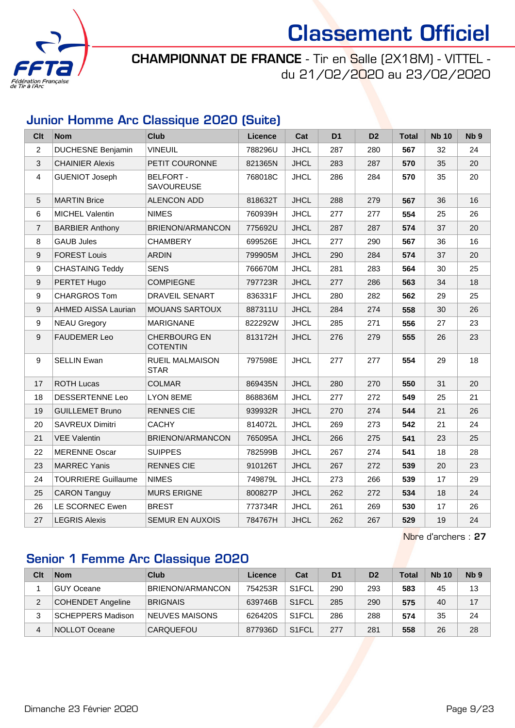

CHAMPIONNAT DE FRANCE - Tir en Salle (2X18M) - VITTEL du 21/02/2020 au 23/02/2020

#### Junior Homme Arc Classique 2020 (Suite)

| Clt            | <b>Nom</b>                 | <b>Club</b>                            | <b>Licence</b> | Cat         | D <sub>1</sub> | D <sub>2</sub> | <b>Total</b> | <b>Nb 10</b> | N <sub>b</sub> <sub>9</sub> |
|----------------|----------------------------|----------------------------------------|----------------|-------------|----------------|----------------|--------------|--------------|-----------------------------|
| $\overline{2}$ | <b>DUCHESNE Benjamin</b>   | <b>VINEUIL</b>                         | 788296U        | <b>JHCL</b> | 287            | 280            | 567          | 32           | 24                          |
| 3              | <b>CHAINIER Alexis</b>     | PETIT COURONNE                         | 821365N        | <b>JHCL</b> | 283            | 287            | 570          | 35           | 20                          |
| $\overline{4}$ | <b>GUENIOT Joseph</b>      | <b>BELFORT -</b><br><b>SAVOUREUSE</b>  | 768018C        | <b>JHCL</b> | 286            | 284            | 570          | 35           | 20                          |
| 5              | <b>MARTIN Brice</b>        | <b>ALENCON ADD</b>                     | 818632T        | <b>JHCL</b> | 288            | 279            | 567          | 36           | 16                          |
| 6              | <b>MICHEL Valentin</b>     | <b>NIMES</b>                           | 760939H        | <b>JHCL</b> | 277            | 277            | 554          | 25           | 26                          |
| $\overline{7}$ | <b>BARBIER Anthony</b>     | BRIENON/ARMANCON                       | 775692U        | <b>JHCL</b> | 287            | 287            | 574          | 37           | 20                          |
| 8              | <b>GAUB Jules</b>          | <b>CHAMBERY</b>                        | 699526E        | <b>JHCL</b> | 277            | 290            | 567          | 36           | 16                          |
| 9              | <b>FOREST Louis</b>        | <b>ARDIN</b>                           | 799905M        | <b>JHCL</b> | 290            | 284            | 574          | 37           | 20                          |
| 9              | <b>CHASTAING Teddy</b>     | <b>SENS</b>                            | 766670M        | <b>JHCL</b> | 281            | 283            | 564          | 30           | 25                          |
| 9              | PERTET Hugo                | <b>COMPIEGNE</b>                       | 797723R        | <b>JHCL</b> | 277            | 286            | 563          | 34           | 18                          |
| 9              | <b>CHARGROS Tom</b>        | <b>DRAVEIL SENART</b>                  | 836331F        | <b>JHCL</b> | 280            | 282            | 562          | 29           | 25                          |
| 9              | AHMED AISSA Laurian        | <b>MOUANS SARTOUX</b>                  | 887311U        | <b>JHCL</b> | 284            | 274            | 558          | 30           | 26                          |
| 9              | <b>NEAU Gregory</b>        | <b>MARIGNANE</b>                       | 822292W        | <b>JHCL</b> | 285            | 271            | 556          | 27           | 23                          |
| 9              | <b>FAUDEMER Leo</b>        | <b>CHERBOURG EN</b><br><b>COTENTIN</b> | 813172H        | <b>JHCL</b> | 276            | 279            | 555          | 26           | 23                          |
| 9              | <b>SELLIN Ewan</b>         | <b>RUEIL MALMAISON</b><br><b>STAR</b>  | 797598E        | <b>JHCL</b> | 277            | 277            | 554          | 29           | 18                          |
| 17             | <b>ROTH Lucas</b>          | <b>COLMAR</b>                          | 869435N        | <b>JHCL</b> | 280            | 270            | 550          | 31           | 20                          |
| 18             | <b>DESSERTENNE Leo</b>     | <b>LYON 8EME</b>                       | 868836M        | <b>JHCL</b> | 277            | 272            | 549          | 25           | 21                          |
| 19             | <b>GUILLEMET Bruno</b>     | <b>RENNES CIE</b>                      | 939932R        | <b>JHCL</b> | 270            | 274            | 544          | 21           | 26                          |
| 20             | <b>SAVREUX Dimitri</b>     | <b>CACHY</b>                           | 814072L        | <b>JHCL</b> | 269            | 273            | 542          | 21           | 24                          |
| 21             | <b>VEE Valentin</b>        | BRIENON/ARMANCON                       | 765095A        | <b>JHCL</b> | 266            | 275            | 541          | 23           | 25                          |
| 22             | <b>MERENNE Oscar</b>       | <b>SUIPPES</b>                         | 782599B        | <b>JHCL</b> | 267            | 274            | 541          | 18           | 28                          |
| 23             | <b>MARREC Yanis</b>        | <b>RENNES CIE</b>                      | 910126T        | <b>JHCL</b> | 267            | 272            | 539          | 20           | 23                          |
| 24             | <b>TOURRIERE Guillaume</b> | <b>NIMES</b>                           | 749879L        | <b>JHCL</b> | 273            | 266            | 539          | 17           | 29                          |
| 25             | <b>CARON Tanguy</b>        | <b>MURS ERIGNE</b>                     | 800827P        | <b>JHCL</b> | 262            | 272            | 534          | 18           | 24                          |
| 26             | LE SCORNEC Ewen            | <b>BREST</b>                           | 773734R        | <b>JHCL</b> | 261            | 269            | 530          | 17           | 26                          |
| 27             | <b>LEGRIS Alexis</b>       | <b>SEMUR EN AUXOIS</b>                 | 784767H        | <b>JHCL</b> | 262            | 267            | 529          | 19           | 24                          |

Nbre d'archers : 27

### Senior 1 Femme Arc Classique 2020

| Clt | <b>Nom</b>               | Club             | Licence | Cat                | D <sub>1</sub> | D <sub>2</sub> | <b>Total</b> | <b>Nb 10</b> | N <sub>b</sub> <sub>9</sub> |
|-----|--------------------------|------------------|---------|--------------------|----------------|----------------|--------------|--------------|-----------------------------|
|     | GUY Oceane               | BRIENON/ARMANCON | 754253R | S <sub>1</sub> FCL | 290            | 293            | 583          | 45           | 13                          |
| 2   | <b>COHENDET Angeline</b> | <b>BRIGNAIS</b>  | 639746B | S <sub>1</sub> FCL | 285            | 290            | 575          | 40           | 17                          |
|     | <b>SCHEPPERS Madison</b> | NEUVES MAISONS   | 626420S | S <sub>1</sub> FCL | 286            | 288            | 574          | 35           | 24                          |
| 4   | NOLLOT Oceane            | <b>CARQUEFOU</b> | 877936D | S <sub>1</sub> FCL | 277            | 281            | 558          | 26           | 28                          |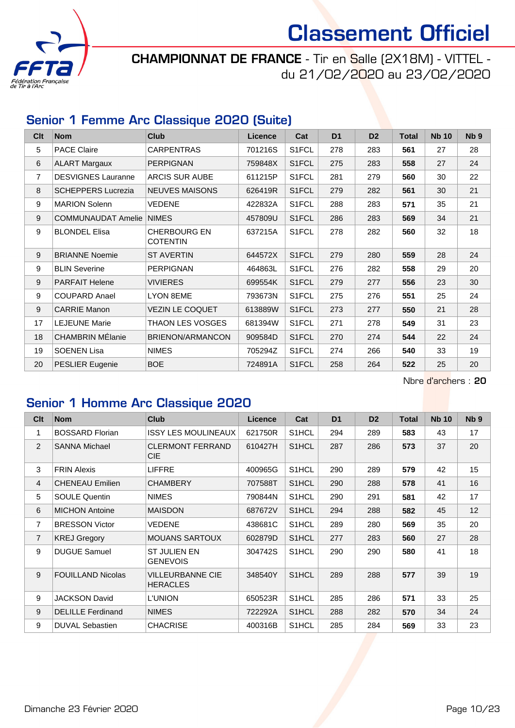

CHAMPIONNAT DE FRANCE - Tir en Salle (2X18M) - VITTEL du 21/02/2020 au 23/02/2020

#### Senior 1 Femme Arc Classique 2020 (Suite)

| Clt | <b>Nom</b>                | <b>Club</b>                            | Licence | Cat                | D <sub>1</sub> | D <sub>2</sub> | <b>Total</b> | <b>Nb 10</b> | Nb <sub>9</sub> |
|-----|---------------------------|----------------------------------------|---------|--------------------|----------------|----------------|--------------|--------------|-----------------|
| 5   | <b>PACE Claire</b>        | <b>CARPENTRAS</b>                      | 701216S | S1FCL              | 278            | 283            | 561          | 27           | 28              |
| 6   | <b>ALART Margaux</b>      | <b>PERPIGNAN</b>                       | 759848X | S1FCL              | 275            | 283            | 558          | 27           | 24              |
| 7   | <b>DESVIGNES Lauranne</b> | <b>ARCIS SUR AUBE</b>                  | 611215P | S1FCL              | 281            | 279            | 560          | 30           | 22              |
| 8   | <b>SCHEPPERS Lucrezia</b> | <b>NEUVES MAISONS</b>                  | 626419R | S1FCL              | 279            | 282            | 561          | 30           | 21              |
| 9   | <b>MARION Solenn</b>      | VEDENE                                 | 422832A | S1FCL              | 288            | 283            | 571          | 35           | 21              |
| 9   | COMMUNAUDAT Amelie NIMES  |                                        | 457809U | S1FCL              | 286            | 283            | 569          | 34           | 21              |
| 9   | <b>BLONDEL Elisa</b>      | <b>CHERBOURG EN</b><br><b>COTENTIN</b> | 637215A | S1FCL              | 278            | 282            | 560          | 32           | 18              |
| 9   | <b>BRIANNE Noemie</b>     | <b>ST AVERTIN</b>                      | 644572X | S1FCL              | 279            | 280            | 559          | 28           | 24              |
| 9   | <b>BLIN Severine</b>      | <b>PERPIGNAN</b>                       | 464863L | S1FCL              | 276            | 282            | 558          | 29           | 20              |
| 9   | <b>PARFAIT Helene</b>     | <b>VIVIERES</b>                        | 699554K | S <sub>1</sub> FCL | 279            | 277            | 556          | 23           | 30              |
| 9   | <b>COUPARD Anael</b>      | <b>LYON 8EME</b>                       | 793673N | S1FCL              | 275            | 276            | 551          | 25           | 24              |
| 9   | <b>CARRIE Manon</b>       | <b>VEZIN LE COQUET</b>                 | 613889W | S1FCL              | 273            | 277            | 550          | 21           | 28              |
| 17  | <b>LEJEUNE Marie</b>      | THAON LES VOSGES                       | 681394W | S1FCL              | 271            | 278            | 549          | 31           | 23              |
| 18  | <b>CHAMBRIN MÉlanie</b>   | <b>BRIENON/ARMANCON</b>                | 909584D | S1FCL              | 270            | 274            | 544          | 22           | 24              |
| 19  | <b>SOENEN Lisa</b>        | <b>NIMES</b>                           | 705294Z | S1FCL              | 274            | 266            | 540          | 33           | 19              |
| 20  | <b>PESLIER Eugenie</b>    | <b>BOE</b>                             | 724891A | S1FCL              | 258            | 264            | 522          | 25           | 20              |

Nbre d'archers : 20

### Senior 1 Homme Arc Classique 2020

| C <sub>lt</sub> | <b>Nom</b>               | <b>Club</b>                            | Licence | Cat                | D <sub>1</sub> | D <sub>2</sub> | <b>Total</b> | <b>Nb 10</b> | N <sub>b</sub> <sub>9</sub> |
|-----------------|--------------------------|----------------------------------------|---------|--------------------|----------------|----------------|--------------|--------------|-----------------------------|
| 1               | <b>BOSSARD Florian</b>   | <b>ISSY LES MOULINEAUX</b>             | 621750R | S <sub>1</sub> HCL | 294            | 289            | 583          | 43           | 17                          |
| 2               | <b>SANNA Michael</b>     | CLERMONT FERRAND<br><b>CIE</b>         | 610427H | S <sub>1</sub> HCL | 287            | 286            | 573          | 37           | 20                          |
| 3               | <b>FRIN Alexis</b>       | <b>LIFFRE</b>                          | 400965G | S <sub>1</sub> HCL | 290            | 289            | 579          | 42           | 15                          |
| $\overline{4}$  | <b>CHENEAU Emilien</b>   | <b>CHAMBERY</b>                        | 707588T | S <sub>1</sub> HCL | 290            | 288            | 578          | 41           | 16                          |
| 5               | <b>SOULE Quentin</b>     | <b>NIMES</b>                           | 790844N | S <sub>1</sub> HCL | 290            | 291            | 581          | 42           | 17                          |
| $\,6\,$         | <b>MICHON Antoine</b>    | <b>MAISDON</b>                         | 687672V | S <sub>1</sub> HCL | 294            | 288            | 582          | 45           | 12                          |
| $\overline{7}$  | <b>BRESSON Victor</b>    | VEDENE                                 | 438681C | S <sub>1</sub> HCL | 289            | 280            | 569          | 35           | 20                          |
| $\overline{7}$  | <b>KREJ Gregory</b>      | <b>MOUANS SARTOUX</b>                  | 602879D | S <sub>1</sub> HCL | 277            | 283            | 560          | 27           | 28                          |
| 9               | <b>DUGUE Samuel</b>      | <b>ST JULIEN EN</b><br><b>GENEVOIS</b> | 304742S | S <sub>1</sub> HCL | 290            | 290            | 580          | 41           | 18                          |
| 9               | <b>FOUILLAND Nicolas</b> | VILLEURBANNE CIE<br><b>HERACLES</b>    | 348540Y | S <sub>1</sub> HCL | 289            | 288            | 577          | 39           | 19                          |
| 9               | <b>JACKSON David</b>     | L'UNION                                | 650523R | S <sub>1</sub> HCL | 285            | 286            | 571          | 33           | 25                          |
| 9               | <b>DELILLE</b> Ferdinand | <b>NIMES</b>                           | 722292A | S <sub>1</sub> HCL | 288            | 282            | 570          | 34           | 24                          |
| 9               | <b>DUVAL Sebastien</b>   | <b>CHACRISE</b>                        | 400316B | S <sub>1</sub> HCL | 285            | 284            | 569          | 33           | 23                          |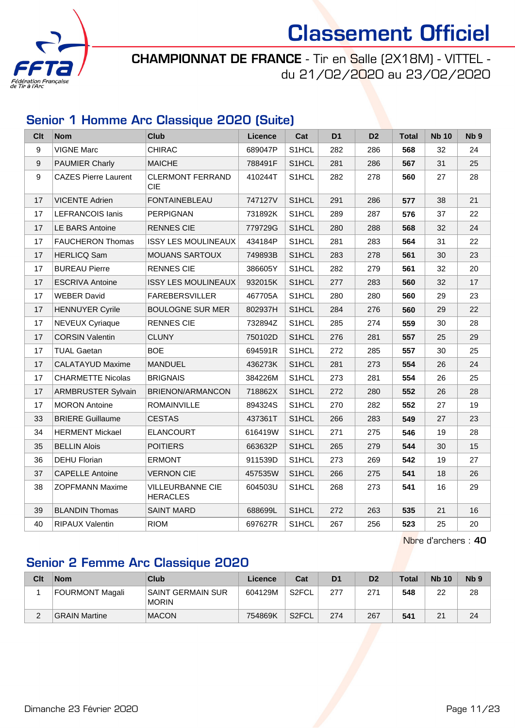

CHAMPIONNAT DE FRANCE - Tir en Salle (2X18M) - VITTEL du 21/02/2020 au 23/02/2020

#### Senior 1 Homme Arc Classique 2020 (Suite)

| <b>Clt</b> | <b>Nom</b>                  | <b>Club</b>                           | <b>Licence</b> | Cat                | D <sub>1</sub> | D <sub>2</sub> | <b>Total</b> | <b>Nb 10</b> | Nb <sub>9</sub> |
|------------|-----------------------------|---------------------------------------|----------------|--------------------|----------------|----------------|--------------|--------------|-----------------|
| 9          | <b>VIGNE Marc</b>           | <b>CHIRAC</b>                         | 689047P        | S1HCL              | 282            | 286            | 568          | 32           | 24              |
| 9          | <b>PAUMIER Charly</b>       | <b>MAICHE</b>                         | 788491F        | S <sub>1</sub> HCL | 281            | 286            | 567          | 31           | 25              |
| 9          | <b>CAZES Pierre Laurent</b> | <b>CLERMONT FERRAND</b><br><b>CIE</b> | 410244T        | S1HCL              | 282            | 278            | 560          | 27           | 28              |
| 17         | <b>VICENTE Adrien</b>       | <b>FONTAINEBLEAU</b>                  | 747127V        | S1HCL              | 291            | 286            | 577          | 38           | 21              |
| 17         | <b>LEFRANCOIS lanis</b>     | <b>PERPIGNAN</b>                      | 731892K        | S1HCL              | 289            | 287            | 576          | 37           | 22              |
| 17         | <b>LE BARS Antoine</b>      | <b>RENNES CIE</b>                     | 779729G        | S1HCL              | 280            | 288            | 568          | 32           | 24              |
| 17         | <b>FAUCHERON Thomas</b>     | <b>ISSY LES MOULINEAUX</b>            | 434184P        | S1HCL              | 281            | 283            | 564          | 31           | 22              |
| 17         | <b>HERLICQ Sam</b>          | <b>MOUANS SARTOUX</b>                 | 749893B        | S1HCL              | 283            | 278            | 561          | 30           | 23              |
| 17         | <b>BUREAU Pierre</b>        | <b>RENNES CIE</b>                     | 386605Y        | S1HCL              | 282            | 279            | 561          | 32           | 20              |
| 17         | <b>ESCRIVA Antoine</b>      | <b>ISSY LES MOULINEAUX</b>            | 932015K        | S1HCL              | 277            | 283            | 560          | 32           | 17              |
| 17         | <b>WEBER David</b>          | <b>FAREBERSVILLER</b>                 | 467705A        | S1HCL              | 280            | 280            | 560          | 29           | 23              |
| 17         | <b>HENNUYER Cyrile</b>      | <b>BOULOGNE SUR MER</b>               | 802937H        | S1HCL              | 284            | 276            | 560          | 29           | 22              |
| 17         | <b>NEVEUX Cyriaque</b>      | <b>RENNES CIE</b>                     | 732894Z        | S1HCL              | 285            | 274            | 559          | 30           | 28              |
| 17         | <b>CORSIN Valentin</b>      | <b>CLUNY</b>                          | 750102D        | S1HCL              | 276            | 281            | 557          | 25           | 29              |
| 17         | <b>TUAL Gaetan</b>          | <b>BOE</b>                            | 694591R        | S1HCL              | 272            | 285            | 557          | 30           | 25              |
| 17         | <b>CALATAYUD Maxime</b>     | <b>MANDUEL</b>                        | 436273K        | S1HCL              | 281            | 273            | 554          | 26           | 24              |
| 17         | <b>CHARMETTE Nicolas</b>    | <b>BRIGNAIS</b>                       | 384226M        | S1HCL              | 273            | 281            | 554          | 26           | 25              |
| 17         | <b>ARMBRUSTER Sylvain</b>   | BRIENON/ARMANCON                      | 718862X        | S1HCL              | 272            | 280            | 552          | 26           | 28              |
| 17         | <b>MORON Antoine</b>        | <b>ROMAINVILLE</b>                    | 894324S        | S1HCL              | 270            | 282            | 552          | 27           | 19              |
| 33         | <b>BRIERE Guillaume</b>     | <b>CESTAS</b>                         | 437361T        | S1HCL              | 266            | 283            | 549          | 27           | 23              |
| 34         | <b>HERMENT Mickael</b>      | <b>ELANCOURT</b>                      | 616419W        | S1HCL              | 271            | 275            | 546          | 19           | 28              |
| 35         | <b>BELLIN Alois</b>         | <b>POITIERS</b>                       | 663632P        | S1HCL              | 265            | 279            | 544          | 30           | 15              |
| 36         | <b>DEHU Florian</b>         | <b>ERMONT</b>                         | 911539D        | S1HCL              | 273            | 269            | 542          | 19           | 27              |
| 37         | <b>CAPELLE Antoine</b>      | <b>VERNON CIE</b>                     | 457535W        | S1HCL              | 266            | 275            | 541          | 18           | 26              |
| 38         | <b>ZOPFMANN Maxime</b>      | VILLEURBANNE CIE<br><b>HERACLES</b>   | 604503U        | S <sub>1</sub> HCL | 268            | 273            | 541          | 16           | 29              |
| 39         | <b>BLANDIN Thomas</b>       | <b>SAINT MARD</b>                     | 688699L        | S1HCL              | 272            | 263            | 535          | 21           | 16              |
| 40         | <b>RIPAUX Valentin</b>      | <b>RIOM</b>                           | 697627R        | S1HCL              | 267            | 256            | 523          | 25           | 20              |

Nbre d'archers : 40

### Senior 2 Femme Arc Classique 2020

| Clt | <b>Nom</b>           | Club                                     | Licence | Cat                | D <sub>1</sub> | D <sub>2</sub> | Total | <b>Nb 10</b> | N <sub>b</sub> <sub>9</sub> |
|-----|----------------------|------------------------------------------|---------|--------------------|----------------|----------------|-------|--------------|-----------------------------|
|     | FOURMONT Magali      | <b>SAINT GERMAIN SUR</b><br><b>MORIN</b> | 604129M | S2FCL              | 277            | 271            | 548   | 22           | 28                          |
|     | <b>GRAIN Martine</b> | <b>MACON</b>                             | 754869K | S <sub>2</sub> FCL | 274            | 267            | 541   | 21           | 24                          |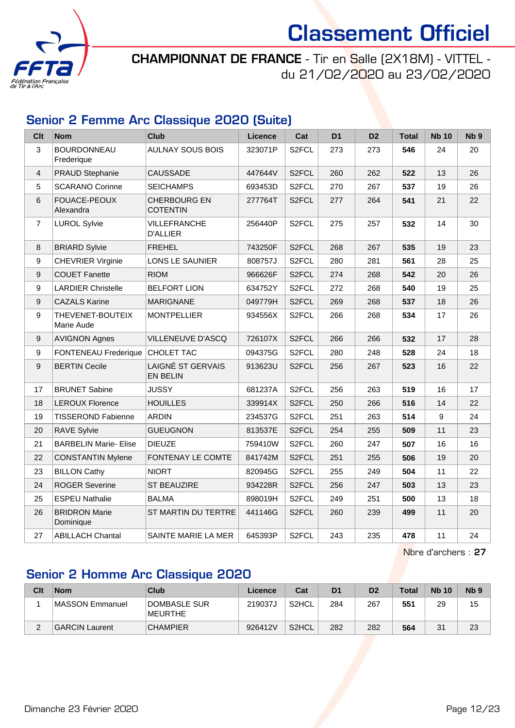

CHAMPIONNAT DE FRANCE - Tir en Salle (2X18M) - VITTEL du 21/02/2020 au 23/02/2020

#### Senior 2 Femme Arc Classique 2020 (Suite)

| <b>Clt</b>       | <b>Nom</b>                        | <b>Club</b>                            | <b>Licence</b> | Cat                | D <sub>1</sub> | D <sub>2</sub> | <b>Total</b> | <b>Nb 10</b> | Nb <sub>9</sub> |
|------------------|-----------------------------------|----------------------------------------|----------------|--------------------|----------------|----------------|--------------|--------------|-----------------|
| 3                | <b>BOURDONNEAU</b><br>Frederique  | <b>AULNAY SOUS BOIS</b>                | 323071P        | S2FCL              | 273            | 273            | 546          | 24           | 20              |
| $\overline{4}$   | PRAUD Stephanie                   | <b>CAUSSADE</b>                        | 447644V        | S2FCL              | 260            | 262            | 522          | 13           | 26              |
| 5                | <b>SCARANO Corinne</b>            | <b>SEICHAMPS</b>                       | 693453D        | S2FCL              | 270            | 267            | 537          | 19           | 26              |
| $\,6\,$          | FOUACE-PEOUX<br>Alexandra         | <b>CHERBOURG EN</b><br><b>COTENTIN</b> | 277764T        | S2FCL              | 277            | 264            | 541          | 21           | 22              |
| $\overline{7}$   | <b>LUROL Sylvie</b>               | VILLEFRANCHE<br><b>D'ALLIER</b>        | 256440P        | S2FCL              | 275            | 257            | 532          | 14           | 30              |
| 8                | <b>BRIARD Sylvie</b>              | <b>FREHEL</b>                          | 743250F        | S <sub>2</sub> FCL | 268            | 267            | 535          | 19           | 23              |
| $\boldsymbol{9}$ | <b>CHEVRIER Virginie</b>          | LONS LE SAUNIER                        | 808757J        | S2FCL              | 280            | 281            | 561          | 28           | 25              |
| $\boldsymbol{9}$ | <b>COUET Fanette</b>              | <b>RIOM</b>                            | 966626F        | S <sub>2</sub> FCL | 274            | 268            | 542          | 20           | 26              |
| $\boldsymbol{9}$ | <b>LARDIER Christelle</b>         | <b>BELFORT LION</b>                    | 634752Y        | S2FCL              | 272            | 268            | 540          | 19           | 25              |
| $\boldsymbol{9}$ | <b>CAZALS Karine</b>              | <b>MARIGNANE</b>                       | 049779H        | S2FCL              | 269            | 268            | 537          | 18           | 26              |
| 9                | THEVENET-BOUTEIX<br>Marie Aude    | <b>MONTPELLIER</b>                     | 934556X        | S2FCL              | 266            | 268            | 534          | 17           | 26              |
| $\boldsymbol{9}$ | <b>AVIGNON Agnes</b>              | VILLENEUVE D'ASCQ                      | 726107X        | S2FCL              | 266            | 266            | 532          | 17           | 28              |
| $\boldsymbol{9}$ | <b>FONTENEAU Frederique</b>       | <b>CHOLET TAC</b>                      | 094375G        | S2FCL              | 280            | 248            | 528          | 24           | 18              |
| $\boldsymbol{9}$ | <b>BERTIN Cecile</b>              | LAIGNÉ ST GERVAIS<br><b>EN BELIN</b>   | 913623U        | S2FCL              | 256            | 267            | 523          | 16           | 22              |
| 17               | <b>BRUNET Sabine</b>              | <b>JUSSY</b>                           | 681237A        | S <sub>2</sub> FCL | 256            | 263            | 519          | 16           | 17              |
| 18               | <b>LEROUX Florence</b>            | <b>HOUILLES</b>                        | 339914X        | S2FCL              | 250            | 266            | 516          | 14           | 22              |
| 19               | <b>TISSEROND Fabienne</b>         | <b>ARDIN</b>                           | 234537G        | S <sub>2</sub> FCL | 251            | 263            | 514          | 9            | 24              |
| 20               | <b>RAVE Sylvie</b>                | <b>GUEUGNON</b>                        | 813537E        | S <sub>2</sub> FCL | 254            | 255            | 509          | 11           | 23              |
| 21               | <b>BARBELIN Marie- Elise</b>      | <b>DIEUZE</b>                          | 759410W        | S <sub>2</sub> FCL | 260            | 247            | 507          | 16           | 16              |
| 22               | <b>CONSTANTIN Mylene</b>          | FONTENAY LE COMTE                      | 841742M        | S <sub>2</sub> FCL | 251            | 255            | 506          | 19           | 20              |
| 23               | <b>BILLON Cathy</b>               | <b>NIORT</b>                           | 820945G        | S2FCL              | 255            | 249            | 504          | 11           | 22              |
| 24               | <b>ROGER Severine</b>             | <b>ST BEAUZIRE</b>                     | 934228R        | S <sub>2</sub> FCL | 256            | 247            | 503          | 13           | 23              |
| 25               | <b>ESPEU Nathalie</b>             | <b>BALMA</b>                           | 898019H        | S2FCL              | 249            | 251            | 500          | 13           | 18              |
| 26               | <b>BRIDRON Marie</b><br>Dominique | ST MARTIN DU TERTRE                    | 441146G        | S <sub>2</sub> FCL | 260            | 239            | 499          | 11           | 20              |
| 27               | <b>ABILLACH Chantal</b>           | SAINTE MARIE LA MER                    | 645393P        | S2FCL              | 243            | 235            | 478          | 11           | 24              |

Nbre d'archers : 27

### Senior 2 Homme Arc Classique 2020

| Clt | <b>Nom</b>            | Club                           | Licence | Cat                | D <sub>1</sub> | D <sub>2</sub> | <b>Total</b> | <b>Nb 10</b> | N <sub>b</sub> <sub>9</sub> |
|-----|-----------------------|--------------------------------|---------|--------------------|----------------|----------------|--------------|--------------|-----------------------------|
|     | MASSON Emmanuel       | DOMBASLE SUR<br><b>MEURTHE</b> | 219037J | S2HCL              | 284            | 267            | 551          | 29           | 15                          |
| ∠   | <b>GARCIN Laurent</b> | <b>CHAMPIER</b>                | 926412V | S <sub>2</sub> HCL | 282            | 282            | 564          | 31           | 23                          |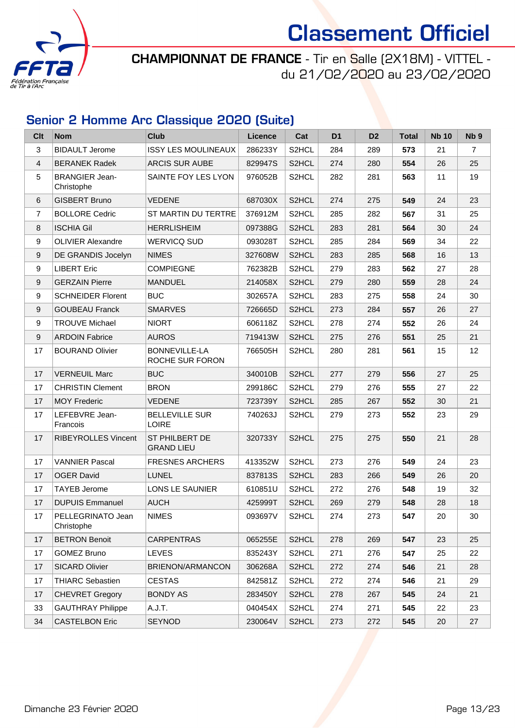

CHAMPIONNAT DE FRANCE - Tir en Salle (2X18M) - VITTEL du 21/02/2020 au 23/02/2020

### Senior 2 Homme Arc Classique 2020 (Suite)

| Clt              | <b>Nom</b>                          | <b>Club</b>                                | Licence | Cat                | D <sub>1</sub> | D <sub>2</sub> | <b>Total</b> | <b>Nb 10</b> | Nb <sub>9</sub> |
|------------------|-------------------------------------|--------------------------------------------|---------|--------------------|----------------|----------------|--------------|--------------|-----------------|
| 3                | <b>BIDAULT Jerome</b>               | <b>ISSY LES MOULINEAUX</b>                 | 286233Y | S2HCL              | 284            | 289            | 573          | 21           | $\overline{7}$  |
| $\overline{4}$   | <b>BERANEK Radek</b>                | <b>ARCIS SUR AUBE</b>                      | 829947S | S <sub>2</sub> HCL | 274            | 280            | 554          | 26           | 25              |
| 5                | <b>BRANGIER Jean-</b><br>Christophe | SAINTE FOY LES LYON                        | 976052B | S <sub>2</sub> HCL | 282            | 281            | 563          | 11           | 19              |
| 6                | <b>GISBERT Bruno</b>                | <b>VEDENE</b>                              | 687030X | S2HCL              | 274            | 275            | 549          | 24           | 23              |
| $\overline{7}$   | <b>BOLLORE Cedric</b>               | ST MARTIN DU TERTRE                        | 376912M | S2HCL              | 285            | 282            | 567          | 31           | 25              |
| 8                | <b>ISCHIA Gil</b>                   | <b>HERRLISHEIM</b>                         | 097388G | S2HCL              | 283            | 281            | 564          | 30           | 24              |
| 9                | <b>OLIVIER Alexandre</b>            | <b>WERVICQ SUD</b>                         | 093028T | S <sub>2</sub> HCL | 285            | 284            | 569          | 34           | 22              |
| 9                | DE GRANDIS Jocelyn                  | <b>NIMES</b>                               | 327608W | S2HCL              | 283            | 285            | 568          | 16           | 13              |
| $\boldsymbol{9}$ | <b>LIBERT Eric</b>                  | <b>COMPIEGNE</b>                           | 762382B | S2HCL              | 279            | 283            | 562          | 27           | 28              |
| 9                | <b>GERZAIN Pierre</b>               | <b>MANDUEL</b>                             | 214058X | S <sub>2</sub> HCL | 279            | 280            | 559          | 28           | 24              |
| 9                | <b>SCHNEIDER Florent</b>            | <b>BUC</b>                                 | 302657A | S2HCL              | 283            | 275            | 558          | 24           | 30              |
| 9                | <b>GOUBEAU Franck</b>               | <b>SMARVES</b>                             | 726665D | S2HCL              | 273            | 284            | 557          | 26           | 27              |
| 9                | <b>TROUVE Michael</b>               | <b>NIORT</b>                               | 606118Z | S <sub>2</sub> HCL | 278            | 274            | 552          | 26           | 24              |
| 9                | <b>ARDOIN Fabrice</b>               | <b>AUROS</b>                               | 719413W | S2HCL              | 275            | 276            | 551          | 25           | 21              |
| 17               | <b>BOURAND Olivier</b>              | <b>BONNEVILLE-LA</b><br>ROCHE SUR FORON    | 766505H | S <sub>2</sub> HCL | 280            | 281            | 561          | 15           | 12              |
| 17               | <b>VERNEUIL Marc</b>                | <b>BUC</b>                                 | 340010B | S2HCL              | 277            | 279            | 556          | 27           | 25              |
| 17               | <b>CHRISTIN Clement</b>             | <b>BRON</b>                                | 299186C | S2HCL              | 279            | 276            | 555          | 27           | 22              |
| 17               | <b>MOY Frederic</b>                 | <b>VEDENE</b>                              | 723739Y | S <sub>2</sub> HCL | 285            | 267            | 552          | 30           | 21              |
| 17               | LEFEBVRE Jean-<br>Francois          | <b>BELLEVILLE SUR</b><br><b>LOIRE</b>      | 740263J | S <sub>2</sub> HCL | 279            | 273            | 552          | 23           | 29              |
| 17               | <b>RIBEYROLLES Vincent</b>          | <b>ST PHILBERT DE</b><br><b>GRAND LIEU</b> | 320733Y | S <sub>2</sub> HCL | 275            | 275            | 550          | 21           | 28              |
| 17               | <b>VANNIER Pascal</b>               | <b>FRESNES ARCHERS</b>                     | 413352W | S2HCL              | 273            | 276            | 549          | 24           | 23              |
| 17               | <b>OGER David</b>                   | <b>LUNEL</b>                               | 837813S | S2HCL              | 283            | 266            | 549          | 26           | 20              |
| 17               | <b>TAYEB Jerome</b>                 | LONS LE SAUNIER                            | 610851U | S2HCL              | 272            | 276            | 548          | 19           | 32              |
| 17               | <b>DUPUIS Emmanuel</b>              | <b>AUCH</b>                                | 425999T | S2HCL              | 269            | 279            | 548          | 28           | 18              |
| 17               | PELLEGRINATO Jean<br>Christophe     | <b>NIMES</b>                               | 093697V | S <sub>2</sub> HCL | 274            | 273            | 547          | 20           | 30              |
| 17               | <b>BETRON Benoit</b>                | <b>CARPENTRAS</b>                          | 065255E | S2HCL              | 278            | 269            | 547          | 23           | 25              |
| 17               | <b>GOMEZ Bruno</b>                  | <b>LEVES</b>                               | 835243Y | S2HCL              | 271            | 276            | 547          | 25           | 22              |
| 17               | SICARD Olivier                      | BRIENON/ARMANCON                           | 306268A | S2HCL              | 272            | 274            | 546          | 21           | 28              |
| 17               | <b>THIARC Sebastien</b>             | <b>CESTAS</b>                              | 842581Z | S2HCL              | 272            | 274            | 546          | 21           | 29              |
| 17               | <b>CHEVRET Gregory</b>              | <b>BONDY AS</b>                            | 283450Y | S2HCL              | 278            | 267            | 545          | 24           | 21              |
| 33               | <b>GAUTHRAY Philippe</b>            | A.J.T.                                     | 040454X | S2HCL              | 274            | 271            | 545          | 22           | 23              |
| 34               | <b>CASTELBON Eric</b>               | SEYNOD                                     | 230064V | S2HCL              | 273            | 272            | 545          | 20           | 27              |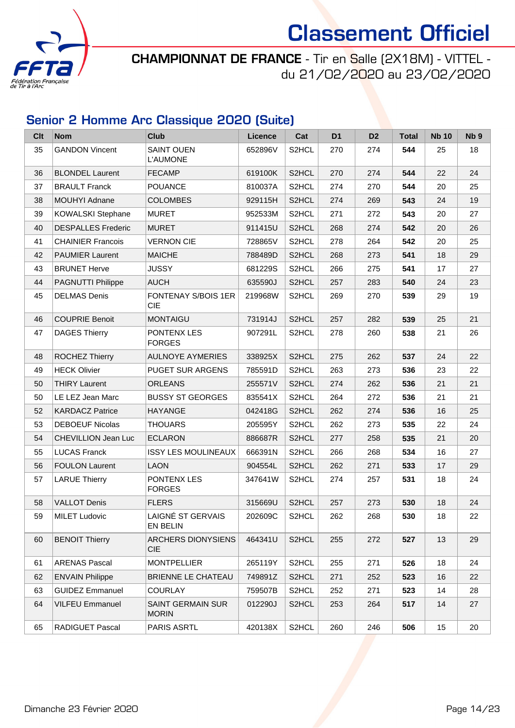

CHAMPIONNAT DE FRANCE - Tir en Salle (2X18M) - VITTEL du 21/02/2020 au 23/02/2020

### Senior 2 Homme Arc Classique 2020 (Suite)

| Clt | <b>Nom</b>                 | <b>Club</b>                          | <b>Licence</b> | Cat                | D <sub>1</sub> | D <sub>2</sub> | <b>Total</b> | <b>Nb 10</b> | Nb <sub>9</sub> |
|-----|----------------------------|--------------------------------------|----------------|--------------------|----------------|----------------|--------------|--------------|-----------------|
| 35  | <b>GANDON Vincent</b>      | <b>SAINT OUEN</b><br><b>L'AUMONE</b> | 652896V        | S <sub>2</sub> HCL | 270            | 274            | 544          | 25           | 18              |
| 36  | <b>BLONDEL Laurent</b>     | <b>FECAMP</b>                        | 619100K        | S <sub>2</sub> HCL | 270            | 274            | 544          | 22           | 24              |
| 37  | <b>BRAULT Franck</b>       | <b>POUANCE</b>                       | 810037A        | S2HCL              | 274            | 270            | 544          | 20           | 25              |
| 38  | <b>MOUHYI Adnane</b>       | <b>COLOMBES</b>                      | 929115H        | S <sub>2</sub> HCL | 274            | 269            | 543          | 24           | 19              |
| 39  | <b>KOWALSKI Stephane</b>   | <b>MURET</b>                         | 952533M        | S <sub>2</sub> HCL | 271            | 272            | 543          | 20           | 27              |
| 40  | <b>DESPALLES Frederic</b>  | <b>MURET</b>                         | 911415U        | S2HCL              | 268            | 274            | 542          | 20           | 26              |
| 41  | <b>CHAINIER Francois</b>   | <b>VERNON CIE</b>                    | 728865V        | S2HCL              | 278            | 264            | 542          | 20           | 25              |
| 42  | <b>PAUMIER Laurent</b>     | <b>MAICHE</b>                        | 788489D        | S2HCL              | 268            | 273            | 541          | 18           | 29              |
| 43  | <b>BRUNET Herve</b>        | <b>JUSSY</b>                         | 681229S        | S2HCL              | 266            | 275            | 541          | 17           | 27              |
| 44  | <b>PAGNUTTI Philippe</b>   | <b>AUCH</b>                          | 635590J        | S <sub>2</sub> HCL | 257            | 283            | 540          | 24           | 23              |
| 45  | <b>DELMAS Denis</b>        | FONTENAY S/BOIS 1ER<br><b>CIE</b>    | 219968W        | S <sub>2</sub> HCL | 269            | 270            | 539          | 29           | 19              |
| 46  | <b>COUPRIE Benoit</b>      | <b>MONTAIGU</b>                      | 731914J        | S2HCL              | 257            | 282            | 539          | 25           | 21              |
| 47  | <b>DAGES Thierry</b>       | PONTENX LES<br><b>FORGES</b>         | 907291L        | S <sub>2</sub> HCL | 278            | 260            | 538          | 21           | 26              |
| 48  | ROCHEZ Thierry             | <b>AULNOYE AYMERIES</b>              | 338925X        | S2HCL              | 275            | 262            | 537          | 24           | 22              |
| 49  | <b>HECK Olivier</b>        | <b>PUGET SUR ARGENS</b>              | 785591D        | S <sub>2</sub> HCL | 263            | 273            | 536          | 23           | 22              |
| 50  | <b>THIRY Laurent</b>       | <b>ORLEANS</b>                       | 255571V        | S <sub>2</sub> HCL | 274            | 262            | 536          | 21           | 21              |
| 50  | LE LEZ Jean Marc           | <b>BUSSY ST GEORGES</b>              | 835541X        | S <sub>2</sub> HCL | 264            | 272            | 536          | 21           | 21              |
| 52  | <b>KARDACZ Patrice</b>     | <b>HAYANGE</b>                       | 042418G        | S2HCL              | 262            | 274            | 536          | 16           | 25              |
| 53  | <b>DEBOEUF Nicolas</b>     | <b>THOUARS</b>                       | 205595Y        | S <sub>2</sub> HCL | 262            | 273            | 535          | 22           | 24              |
| 54  | <b>CHEVILLION Jean Luc</b> | <b>ECLARON</b>                       | 886687R        | S <sub>2</sub> HCL | 277            | 258            | 535          | 21           | 20              |
| 55  | <b>LUCAS Franck</b>        | <b>ISSY LES MOULINEAUX</b>           | 666391N        | S <sub>2</sub> HCL | 266            | 268            | 534          | 16           | 27              |
| 56  | <b>FOULON Laurent</b>      | <b>LAON</b>                          | 904554L        | S2HCL              | 262            | 271            | 533          | 17           | 29              |
| 57  | <b>LARUE Thierry</b>       | PONTENX LES<br><b>FORGES</b>         | 347641W        | S <sub>2</sub> HCL | 274            | 257            | 531          | 18           | 24              |
| 58  | <b>VALLOT Denis</b>        | <b>FLERS</b>                         | 315669U        | S2HCL              | 257            | 273            | 530          | 18           | 24              |
| 59  | <b>MILET Ludovic</b>       | LAIGNÉ ST GERVAIS<br>EN BELIN        | 202609C        | S2HCL              | 262            | 268            | 530          | 18           | 22              |
| 60  | <b>BENOIT Thierry</b>      | ARCHERS DIONYSIENS<br><b>CIE</b>     | 464341U        | S2HCL              | 255            | 272            | 527          | 13           | 29              |
| 61  | <b>ARENAS Pascal</b>       | <b>MONTPELLIER</b>                   | 265119Y        | S2HCL              | 255            | 271            | 526          | 18           | 24              |
| 62  | <b>ENVAIN Philippe</b>     | BRIENNE LE CHATEAU                   | 749891Z        | S2HCL              | 271            | 252            | 523          | 16           | 22              |
| 63  | <b>GUIDEZ Emmanuel</b>     | <b>COURLAY</b>                       | 759507B        | S2HCL              | 252            | 271            | 523          | 14           | 28              |
| 64  | <b>VILFEU Emmanuel</b>     | SAINT GERMAIN SUR<br><b>MORIN</b>    | 012290J        | S <sub>2</sub> HCL | 253            | 264            | 517          | 14           | 27              |
| 65  | RADIGUET Pascal            | PARIS ASRTL                          | 420138X        | S2HCL              | 260            | 246            | 506          | 15           | 20              |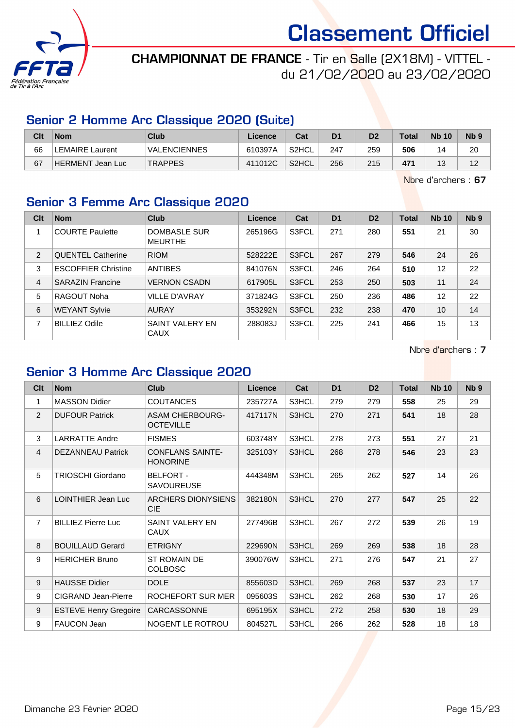

### CHAMPIONNAT DE FRANCE - Tir en Salle (2X18M) - VITTEL du 21/02/2020 au 23/02/2020

#### Senior 2 Homme Arc Classique 2020 (Suite)

| Clt | <b>Nom</b>       | Club                | Licence | Cat                | D1  | D2  | Total           | <b>Nb 10</b> | N <sub>b</sub> <sub>9</sub> |
|-----|------------------|---------------------|---------|--------------------|-----|-----|-----------------|--------------|-----------------------------|
| 66  | LEMAIRE Laurent  | <b>VALENCIENNES</b> | 610397A | S <sub>2</sub> HCL | 247 | 259 | 506             | 14           | 20                          |
| 67  | HERMENT Jean Luc | <b>TRAPPES</b>      | 411012C | S <sub>2</sub> HCL | 256 | 215 | 47 <sup>4</sup> | $\sim$       | 10                          |

Nbre d'archers : 67

### Senior 3 Femme Arc Classique 2020

| Clt            | <b>Nom</b>                 | <b>Club</b>                    | <b>Licence</b> | Cat   | D <sub>1</sub> | D <sub>2</sub> | <b>Total</b> | <b>Nb 10</b> | N <sub>b</sub> <sub>9</sub> |
|----------------|----------------------------|--------------------------------|----------------|-------|----------------|----------------|--------------|--------------|-----------------------------|
| 1              | <b>COURTE Paulette</b>     | DOMBASLE SUR<br><b>MEURTHE</b> | 265196G        | S3FCL | 271            | 280            | 551          | 21           | 30                          |
| 2              | <b>QUENTEL Catherine</b>   | <b>RIOM</b>                    | 528222E        | S3FCL | 267            | 279            | 546          | 24           | 26                          |
| 3              | <b>ESCOFFIER Christine</b> | <b>ANTIBES</b>                 | 841076N        | S3FCL | 246            | 264            | 510          | 12           | 22                          |
| $\overline{4}$ | <b>SARAZIN Francine</b>    | <b>VERNON CSADN</b>            | 617905L        | S3FCL | 253            | 250            | 503          | 11           | 24                          |
| 5              | RAGOUT Noha                | <b>VILLE D'AVRAY</b>           | 371824G        | S3FCL | 250            | 236            | 486          | 12           | 22                          |
| 6              | <b>WEYANT Sylvie</b>       | <b>AURAY</b>                   | 353292N        | S3FCL | 232            | 238            | 470          | 10           | 14                          |
| 7              | <b>BILLIEZ Odile</b>       | SAINT VALERY EN<br><b>CAUX</b> | 288083J        | S3FCL | 225            | 241            | 466          | 15           | 13                          |

Nbre d'archers : 7

### Senior 3 Homme Arc Classique 2020

| Clt            | <b>Nom</b>                   | Club                                       | Licence | Cat   | D <sub>1</sub> | D <sub>2</sub> | <b>Total</b> | <b>Nb 10</b> | N <sub>b</sub> <sub>9</sub> |
|----------------|------------------------------|--------------------------------------------|---------|-------|----------------|----------------|--------------|--------------|-----------------------------|
| 1              | <b>MASSON Didier</b>         | <b>COUTANCES</b>                           | 235727A | S3HCL | 279            | 279            | 558          | 25           | 29                          |
| 2              | <b>DUFOUR Patrick</b>        | <b>ASAM CHERBOURG-</b><br><b>OCTEVILLE</b> | 417117N | S3HCL | 270            | 271            | 541          | 18           | 28                          |
| 3              | <b>LARRATTE Andre</b>        | <b>FISMES</b>                              | 603748Y | S3HCL | 278            | 273            | 551          | 27           | 21                          |
| $\overline{4}$ | <b>DEZANNEAU Patrick</b>     | <b>CONFLANS SAINTE-</b><br><b>HONORINE</b> | 325103Y | S3HCL | 268            | 278            | 546          | 23           | 23                          |
| 5              | <b>TRIOSCHI Giordano</b>     | <b>BELFORT -</b><br><b>SAVOUREUSE</b>      | 444348M | S3HCL | 265            | 262            | 527          | 14           | 26                          |
| 6              | LOINTHIER Jean Luc           | <b>ARCHERS DIONYSIENS</b><br><b>CIE</b>    | 382180N | S3HCL | 270            | 277            | 547          | 25           | 22                          |
| $\overline{7}$ | <b>BILLIEZ Pierre Luc</b>    | SAINT VALERY EN<br><b>CAUX</b>             | 277496B | S3HCL | 267            | 272            | 539          | 26           | 19                          |
| 8              | <b>BOUILLAUD Gerard</b>      | <b>ETRIGNY</b>                             | 229690N | S3HCL | 269            | 269            | 538          | 18           | 28                          |
| 9              | <b>HERICHER Bruno</b>        | <b>ST ROMAIN DE</b><br><b>COLBOSC</b>      | 390076W | S3HCL | 271            | 276            | 547          | 21           | 27                          |
| 9              | <b>HAUSSE Didier</b>         | <b>DOLE</b>                                | 855603D | S3HCL | 269            | 268            | 537          | 23           | 17                          |
| 9              | CIGRAND Jean-Pierre          | ROCHEFORT SUR MER                          | 095603S | S3HCL | 262            | 268            | 530          | 17           | 26                          |
| 9              | <b>ESTEVE Henry Gregoire</b> | CARCASSONNE                                | 695195X | S3HCL | 272            | 258            | 530          | 18           | 29                          |
| 9              | <b>FAUCON Jean</b>           | NOGENT LE ROTROU                           | 804527L | S3HCL | 266            | 262            | 528          | 18           | 18                          |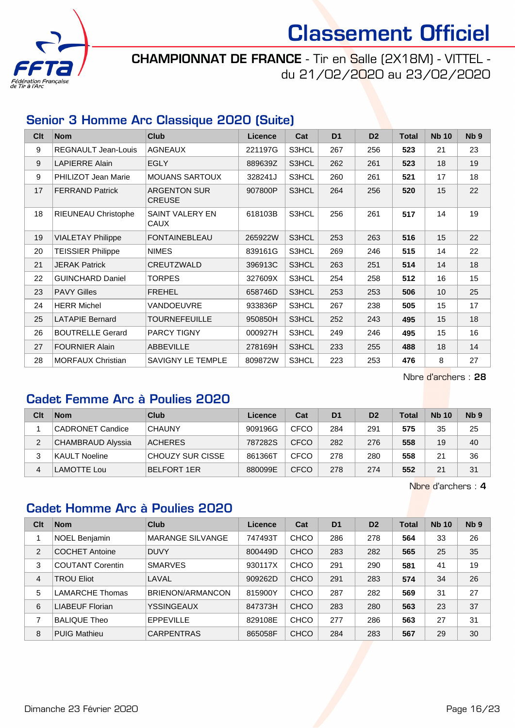

CHAMPIONNAT DE FRANCE - Tir en Salle (2X18M) - VITTEL du 21/02/2020 au 23/02/2020

#### Senior 3 Homme Arc Classique 2020 (Suite)

| C <sub>it</sub> | <b>Nom</b>                 | <b>Club</b>                          | <b>Licence</b> | Cat   | D <sub>1</sub> | D <sub>2</sub> | <b>Total</b> | <b>Nb 10</b> | N <sub>b</sub> <sub>9</sub> |
|-----------------|----------------------------|--------------------------------------|----------------|-------|----------------|----------------|--------------|--------------|-----------------------------|
| 9               | <b>REGNAULT Jean-Louis</b> | <b>AGNEAUX</b>                       | 221197G        | S3HCL | 267            | 256            | 523          | 21           | 23                          |
| 9               | <b>LAPIERRE Alain</b>      | <b>EGLY</b>                          | 889639Z        | S3HCL | 262            | 261            | 523          | 18           | 19                          |
| 9               | <b>PHILIZOT Jean Marie</b> | <b>MOUANS SARTOUX</b>                | 328241J        | S3HCL | 260            | 261            | 521          | 17           | 18                          |
| 17              | <b>FERRAND Patrick</b>     | <b>ARGENTON SUR</b><br><b>CREUSE</b> | 907800P        | S3HCL | 264            | 256            | 520          | 15           | 22                          |
| 18              | <b>RIEUNEAU Christophe</b> | SAINT VALERY EN<br><b>CAUX</b>       | 618103B        | S3HCL | 256            | 261            | 517          | 14           | 19                          |
| 19              | <b>VIALETAY Philippe</b>   | <b>FONTAINEBLEAU</b>                 | 265922W        | S3HCL | 253            | 263            | 516          | 15           | 22                          |
| 20              | <b>TEISSIER Philippe</b>   | <b>NIMES</b>                         | 839161G        | S3HCL | 269            | 246            | 515          | 14           | 22                          |
| 21              | <b>JERAK Patrick</b>       | CREUTZWALD                           | 396913C        | S3HCL | 263            | 251            | 514          | 14           | 18                          |
| 22              | <b>GUINCHARD Daniel</b>    | TORPES                               | 327609X        | S3HCL | 254            | 258            | 512          | 16           | 15                          |
| 23              | <b>PAVY Gilles</b>         | <b>FREHEL</b>                        | 658746D        | S3HCL | 253            | 253            | 506          | 10           | 25                          |
| 24              | <b>HERR Michel</b>         | <b>VANDOEUVRE</b>                    | 933836P        | S3HCL | 267            | 238            | 505          | 15           | 17                          |
| 25              | <b>LATAPIE Bernard</b>     | <b>TOURNEFEUILLE</b>                 | 950850H        | S3HCL | 252            | 243            | 495          | 15           | 18                          |
| 26              | <b>BOUTRELLE Gerard</b>    | <b>PARCY TIGNY</b>                   | 000927H        | S3HCL | 249            | 246            | 495          | 15           | 16                          |
| 27              | <b>FOURNIER Alain</b>      | <b>ABBEVILLE</b>                     | 278169H        | S3HCL | 233            | 255            | 488          | 18           | 14                          |
| 28              | <b>MORFAUX Christian</b>   | <b>SAVIGNY LE TEMPLE</b>             | 809872W        | S3HCL | 223            | 253            | 476          | 8            | 27                          |

Nbre d'archers : 28

#### Cadet Femme Arc à Poulies 2020

| Clt | <b>Nom</b>               | Club               | Licence | Cat  | D <sub>1</sub> | D <sub>2</sub> | <b>Total</b> | <b>Nb 10</b> | N <sub>b</sub> <sub>9</sub> |
|-----|--------------------------|--------------------|---------|------|----------------|----------------|--------------|--------------|-----------------------------|
|     | CADRONET Candice         | <b>CHAUNY</b>      | 909196G | CFCO | 284            | 291            | 575          | 35           | 25                          |
| 2   | <b>CHAMBRAUD Alyssia</b> | <b>ACHERES</b>     | 787282S | CFCO | 282            | 276            | 558          | 19           | 40                          |
| 3   | <b>KAULT Noeline</b>     | CHOUZY SUR CISSE   | 861366T | CFCO | 278            | 280            | 558          | 21           | 36                          |
| 4   | LAMOTTE Lou              | <b>BELFORT 1ER</b> | 880099E | CFCO | 278            | 274            | 552          | 21           | 31                          |

Nbre d'archers : 4

### Cadet Homme Arc à Poulies 2020

| Clt | <b>Nom</b>              | Club                    | Licence | Cat         | D <sub>1</sub> | D <sub>2</sub> | <b>Total</b> | <b>Nb 10</b> | Nb <sub>9</sub> |
|-----|-------------------------|-------------------------|---------|-------------|----------------|----------------|--------------|--------------|-----------------|
|     | <b>NOEL Benjamin</b>    | <b>MARANGE SILVANGE</b> | 747493T | <b>CHCO</b> | 286            | 278            | 564          | 33           | 26              |
| 2   | <b>COCHET Antoine</b>   | <b>DUVY</b>             | 800449D | <b>CHCO</b> | 283            | 282            | 565          | 25           | 35              |
| 3   | <b>COUTANT Corentin</b> | <b>SMARVES</b>          | 930117X | <b>CHCO</b> | 291            | 290            | 581          | 41           | 19              |
| 4   | <b>TROU Eliot</b>       | LAVAL                   | 909262D | <b>CHCO</b> | 291            | 283            | 574          | 34           | 26              |
| 5   | <b>LAMARCHE Thomas</b>  | BRIENON/ARMANCON        | 815900Y | <b>CHCO</b> | 287            | 282            | 569          | 31           | 27              |
| 6   | <b>LIABEUF Florian</b>  | YSSINGEAUX              | 847373H | <b>CHCO</b> | 283            | 280            | 563          | 23           | 37              |
|     | <b>BALIQUE Theo</b>     | <b>EPPEVILLE</b>        | 829108E | <b>CHCO</b> | 277            | 286            | 563          | 27           | 31              |
| 8   | <b>PUIG Mathieu</b>     | <b>CARPENTRAS</b>       | 865058F | <b>CHCO</b> | 284            | 283            | 567          | 29           | 30              |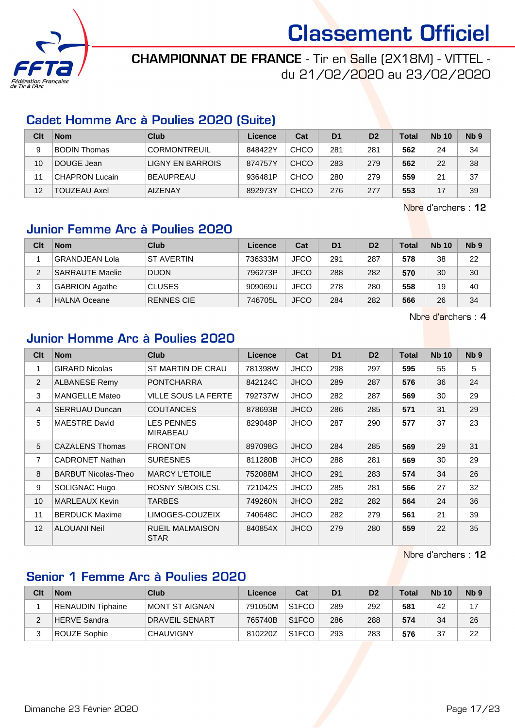

### CHAMPIONNAT DE FRANCE - Tir en Salle (2X18M) - VITTEL du 21/02/2020 au 23/02/2020

#### Cadet Homme Arc à Poulies 2020 (Suite)

| Clt | <b>Nom</b>            | Club                | Licence | Cat         | D <sub>1</sub> | D <sub>2</sub> | Total | <b>Nb 10</b> | Nb <sub>9</sub> |
|-----|-----------------------|---------------------|---------|-------------|----------------|----------------|-------|--------------|-----------------|
| 9   | <b>BODIN Thomas</b>   | <b>CORMONTREUIL</b> | 848422Y | CHCO        | 281            | 281            | 562   | 24           | 34              |
| 10  | DOUGE Jean            | LIGNY EN BARROIS    | 874757Y | CHCO        | 283            | 279            | 562   | 22           | 38              |
| 11  | <b>CHAPRON Lucain</b> | <b>BEAUPREAU</b>    | 936481P | <b>CHCO</b> | 280            | 279            | 559   | 21           | 37              |
| 12  | TOUZEAU Axel          | <b>AIZENAY</b>      | 892973Y | CHCO        | 276            | 277            | 553   |              | 39              |

Nbre d'archers : 12

### Junior Femme Arc à Poulies 2020

| Clt | <b>Nom</b>             | Club              | Licence | Cat         | D <sub>1</sub> | D <sub>2</sub> | <b>Total</b> | <b>Nb 10</b> | N <sub>b</sub> <sub>9</sub> |
|-----|------------------------|-------------------|---------|-------------|----------------|----------------|--------------|--------------|-----------------------------|
|     | <b>GRANDJEAN Lola</b>  | <b>ST AVERTIN</b> | 736333M | JFCO        | 291            | 287            | 578          | 38           | 22                          |
| 2   | <b>SARRAUTE Maelie</b> | <b>DIJON</b>      | 796273P | <b>JFCO</b> | 288            | 282            | 570          | 30           | 30                          |
| 3   | <b>GABRION Agathe</b>  | <b>CLUSES</b>     | 909069U | JFCO        | 278            | 280            | 558          | 19           | 40                          |
|     | <b>HALNA Oceane</b>    | <b>RENNES CIE</b> | 746705L | <b>JFCO</b> | 284            | 282            | 566          | 26           | 34                          |

Nbre d'archers : 4

#### Junior Homme Arc à Poulies 2020

| Clt            | <b>Nom</b>                 | Club                                  | <b>Licence</b> | Cat         | D <sub>1</sub> | D <sub>2</sub> | <b>Total</b> | <b>Nb 10</b> | Nb <sub>9</sub> |
|----------------|----------------------------|---------------------------------------|----------------|-------------|----------------|----------------|--------------|--------------|-----------------|
| 1              | <b>GIRARD Nicolas</b>      | ST MARTIN DE CRAU                     | 781398W        | <b>JHCO</b> | 298            | 297            | 595          | 55           | 5               |
| $\overline{2}$ | <b>ALBANESE Remy</b>       | <b>PONTCHARRA</b>                     | 842124C        | <b>JHCO</b> | 289            | 287            | 576          | 36           | 24              |
| 3              | <b>MANGELLE Mateo</b>      | <b>VILLE SOUS LA FERTE</b>            | 792737W        | <b>JHCO</b> | 282            | 287            | 569          | 30           | 29              |
| 4              | <b>SERRUAU Duncan</b>      | <b>COUTANCES</b>                      | 878693B        | <b>JHCO</b> | 286            | 285            | 571          | 31           | 29              |
| 5              | <b>MAESTRE David</b>       | <b>LES PENNES</b><br><b>MIRABEAU</b>  | 829048P        | <b>JHCO</b> | 287            | 290            | 577          | 37           | 23              |
| 5              | <b>CAZALENS Thomas</b>     | <b>FRONTON</b>                        | 897098G        | <b>JHCO</b> | 284            | 285            | 569          | 29           | 31              |
| 7              | <b>CADRONET Nathan</b>     | <b>SURESNES</b>                       | 811280B        | <b>JHCO</b> | 288            | 281            | 569          | 30           | 29              |
| 8              | <b>BARBUT Nicolas-Theo</b> | <b>MARCY L'ETOILE</b>                 | 752088M        | <b>JHCO</b> | 291            | 283            | 574          | 34           | 26              |
| 9              | SOLIGNAC Hugo              | ROSNY S/BOIS CSL                      | 721042S        | <b>JHCO</b> | 285            | 281            | 566          | 27           | 32              |
| 10             | <b>MARLEAUX Kevin</b>      | <b>TARBES</b>                         | 749260N        | <b>JHCO</b> | 282            | 282            | 564          | 24           | 36              |
| 11             | <b>BERDUCK Maxime</b>      | LIMOGES-COUZEIX                       | 740648C        | <b>JHCO</b> | 282            | 279            | 561          | 21           | 39              |
| 12             | <b>ALOUANI Neil</b>        | <b>RUEIL MALMAISON</b><br><b>STAR</b> | 840854X        | <b>JHCO</b> | 279            | 280            | 559          | 22           | 35              |

Nbre d'archers : 12

#### Senior 1 Femme Arc à Poulies 2020

| Clt | <b>Nom</b>        | Club             | Licence | Cat                | D <sub>1</sub> | D <sub>2</sub> | <b>Total</b> | <b>Nb 10</b> | N <sub>b</sub> <sub>9</sub> |
|-----|-------------------|------------------|---------|--------------------|----------------|----------------|--------------|--------------|-----------------------------|
|     | RENAUDIN Tiphaine | IMONT ST AIGNAN  | 791050M | S <sub>1</sub> FCO | 289            | 292            | 581          | 42           | 17                          |
|     | HERVE Sandra      | DRAVEIL SENART   | 765740B | S <sub>1</sub> FCO | 286            | 288            | 574          | 34           | 26                          |
|     | ROUZE Sophie      | <b>CHAUVIGNY</b> | 810220Z | S <sub>1</sub> FCO | 293            | 283            | 576          | 37           | 22                          |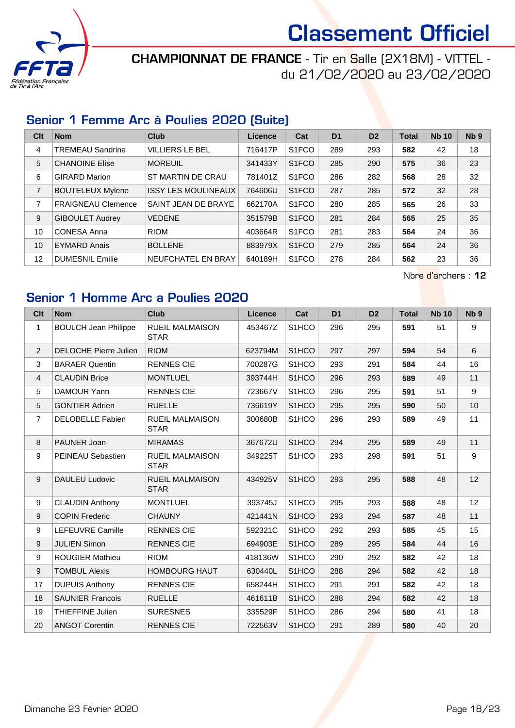

### CHAMPIONNAT DE FRANCE - Tir en Salle (2X18M) - VITTEL du 21/02/2020 au 23/02/2020

#### Senior 1 Femme Arc à Poulies 2020 (Suite)

| Clt            | <b>Nom</b>                | Club                       | Licence | Cat                            | D <sub>1</sub> | D <sub>2</sub> | <b>Total</b> | <b>Nb 10</b> | Nb <sub>9</sub> |
|----------------|---------------------------|----------------------------|---------|--------------------------------|----------------|----------------|--------------|--------------|-----------------|
| $\overline{4}$ | <b>TREMEAU Sandrine</b>   | <b>VILLIERS LE BEL</b>     | 716417P | S <sub>1</sub> FCO             | 289            | 293            | 582          | 42           | 18              |
| 5              | <b>CHANOINE Elise</b>     | <b>MOREUIL</b>             | 341433Y | S <sub>1</sub> F <sub>CO</sub> | 285            | 290            | 575          | 36           | 23              |
| 6              | <b>GIRARD Marion</b>      | ST MARTIN DE CRAU          | 781401Z | S <sub>1</sub> FCO             | 286            | 282            | 568          | 28           | 32              |
| $\overline{7}$ | <b>BOUTELEUX Mylene</b>   | <b>ISSY LES MOULINEAUX</b> | 764606U | S <sub>1</sub> FCO             | 287            | 285            | 572          | 32           | 28              |
| 7              | <b>FRAIGNEAU Clemence</b> | SAINT JEAN DE BRAYE        | 662170A | S <sub>1</sub> FCO             | 280            | 285            | 565          | 26           | 33              |
| 9              | <b>GIBOULET Audrey</b>    | <b>VEDENE</b>              | 351579B | S <sub>1</sub> F <sub>CO</sub> | 281            | 284            | 565          | 25           | 35              |
| 10             | <b>CONESA Anna</b>        | <b>RIOM</b>                | 403664R | S <sub>1</sub> FCO             | 281            | 283            | 564          | 24           | 36              |
| 10             | <b>EYMARD Anais</b>       | <b>BOLLENE</b>             | 883979X | S <sub>1</sub> FCO             | 279            | 285            | 564          | 24           | 36              |
| 12             | <b>DUMESNIL Emilie</b>    | NEUFCHATEL EN BRAY         | 640189H | S <sub>1</sub> FCO             | 278            | 284            | 562          | 23           | 36              |

Nbre d'archers : 12

### Senior 1 Homme Arc a Poulies 2020

| Clt              | <b>Nom</b>                   | <b>Club</b>                           | <b>Licence</b> | Cat                | D <sub>1</sub> | D <sub>2</sub> | <b>Total</b> | <b>Nb 10</b> | N <sub>b</sub> <sub>9</sub> |
|------------------|------------------------------|---------------------------------------|----------------|--------------------|----------------|----------------|--------------|--------------|-----------------------------|
| $\mathbf{1}$     | <b>BOULCH Jean Philippe</b>  | RUEIL MALMAISON<br><b>STAR</b>        | 453467Z        | S <sub>1</sub> HCO | 296            | 295            | 591          | 51           | 9                           |
| $\overline{2}$   | <b>DELOCHE Pierre Julien</b> | <b>RIOM</b>                           | 623794M        | S <sub>1</sub> HCO | 297            | 297            | 594          | 54           | 6                           |
| 3                | <b>BARAER Quentin</b>        | <b>RENNES CIE</b>                     | 700287G        | S <sub>1</sub> HCO | 293            | 291            | 584          | 44           | 16                          |
| 4                | <b>CLAUDIN Brice</b>         | <b>MONTLUEL</b>                       | 393744H        | S <sub>1</sub> HCO | 296            | 293            | 589          | 49           | 11                          |
| 5                | DAMOUR Yann                  | <b>RENNES CIE</b>                     | 723667V        | S1HCO              | 296            | 295            | 591          | 51           | 9                           |
| 5                | <b>GONTIER Adrien</b>        | <b>RUELLE</b>                         | 736619Y        | S1HCO              | 295            | 295            | 590          | 50           | 10                          |
| $\overline{7}$   | <b>DELOBELLE Fabien</b>      | <b>RUEIL MALMAISON</b><br><b>STAR</b> | 300680B        | S <sub>1</sub> HCO | 296            | 293            | 589          | 49           | 11                          |
| 8                | PAUNER Joan                  | <b>MIRAMAS</b>                        | 367672U        | S1HCO              | 294            | 295            | 589          | 49           | 11                          |
| 9                | <b>PEINEAU Sebastien</b>     | <b>RUEIL MALMAISON</b><br><b>STAR</b> | 349225T        | S <sub>1</sub> HCO | 293            | 298            | 591          | 51           | 9                           |
| $\boldsymbol{9}$ | <b>DAULEU Ludovic</b>        | <b>RUEIL MALMAISON</b><br><b>STAR</b> | 434925V        | S <sub>1</sub> HCO | 293            | 295            | 588          | 48           | 12                          |
| 9                | <b>CLAUDIN Anthony</b>       | <b>MONTLUEL</b>                       | 393745J        | S <sub>1</sub> HCO | 295            | 293            | 588          | 48           | 12                          |
| $\boldsymbol{9}$ | <b>COPIN Frederic</b>        | <b>CHAUNY</b>                         | 421441N        | S1HCO              | 293            | 294            | 587          | 48           | 11                          |
| 9                | LEFEUVRE Camille             | <b>RENNES CIE</b>                     | 592321C        | S <sub>1</sub> HCO | 292            | 293            | 585          | 45           | 15                          |
| 9                | <b>JULIEN Simon</b>          | <b>RENNES CIE</b>                     | 694903E        | S <sub>1</sub> HCO | 289            | 295            | 584          | 44           | 16                          |
| 9                | <b>ROUGIER Mathieu</b>       | <b>RIOM</b>                           | 418136W        | S <sub>1</sub> HCO | 290            | 292            | 582          | 42           | 18                          |
| 9                | <b>TOMBUL Alexis</b>         | <b>HOMBOURG HAUT</b>                  | 630440L        | S1HCO              | 288            | 294            | 582          | 42           | 18                          |
| 17               | <b>DUPUIS Anthony</b>        | <b>RENNES CIE</b>                     | 658244H        | S1HCO              | 291            | 291            | 582          | 42           | 18                          |
| 18               | <b>SAUNIER Francois</b>      | <b>RUELLE</b>                         | 461611B        | S1HCO              | 288            | 294            | 582          | 42           | 18                          |
| 19               | <b>THIEFFINE Julien</b>      | <b>SURESNES</b>                       | 335529F        | S <sub>1</sub> HCO | 286            | 294            | 580          | 41           | 18                          |
| 20               | <b>ANGOT Corentin</b>        | <b>RENNES CIE</b>                     | 722563V        | S <sub>1</sub> HCO | 291            | 289            | 580          | 40           | 20                          |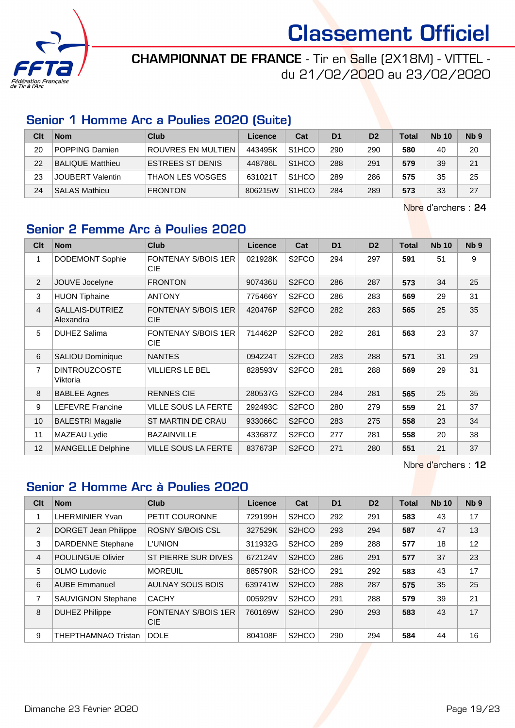

CHAMPIONNAT DE FRANCE - Tir en Salle (2X18M) - VITTEL du 21/02/2020 au 23/02/2020

#### Senior 1 Homme Arc a Poulies 2020 (Suite)

| Clt | <b>Nom</b>              | Club                      | Licence | Cat                | D <sub>1</sub> | D <sub>2</sub> | <b>Total</b> | <b>Nb 10</b> | N <sub>b</sub> <sub>9</sub> |
|-----|-------------------------|---------------------------|---------|--------------------|----------------|----------------|--------------|--------------|-----------------------------|
| 20  | <b>POPPING Damien</b>   | <b>ROUVRES EN MULTIEN</b> | 443495K | S <sub>1</sub> HCO | 290            | 290            | 580          | 40           | 20                          |
| 22  | <b>BALIQUE Matthieu</b> | <b>ESTREES ST DENIS</b>   | 448786L | S <sub>1</sub> HCO | 288            | 291            | 579          | 39           | 21                          |
| 23  | <b>JOUBERT Valentin</b> | <b>THAON LES VOSGES</b>   | 631021T | S <sub>1</sub> HCO | 289            | 286            | 575          | 35           | 25                          |
| 24  | <b>SALAS Mathieu</b>    | <b>FRONTON</b>            | 806215W | S <sub>1</sub> HCO | 284            | 289            | 573          | 33           | 27                          |

Nbre d'archers : 24

### Senior 2 Femme Arc à Poulies 2020

| Cl <sub>t</sub> | <b>Nom</b>                          | <b>Club</b>                              | <b>Licence</b> | Cat                | D <sub>1</sub> | D <sub>2</sub> | <b>Total</b> | <b>Nb 10</b> | N <sub>b</sub> <sub>9</sub> |
|-----------------|-------------------------------------|------------------------------------------|----------------|--------------------|----------------|----------------|--------------|--------------|-----------------------------|
| 1               | <b>DODEMONT Sophie</b>              | <b>FONTENAY S/BOIS 1ER</b><br><b>CIE</b> | 021928K        | S <sub>2</sub> FCO | 294            | 297            | 591          | 51           | 9                           |
| 2               | JOUVE Jocelyne                      | <b>FRONTON</b>                           | 907436U        | S <sub>2</sub> FCO | 286            | 287            | 573          | 34           | 25                          |
| 3               | <b>HUON Tiphaine</b>                | <b>ANTONY</b>                            | 775466Y        | S <sub>2</sub> FCO | 286            | 283            | 569          | 29           | 31                          |
| $\overline{4}$  | <b>GALLAIS-DUTRIEZ</b><br>Alexandra | <b>FONTENAY S/BOIS 1ER</b><br><b>CIE</b> | 420476P        | S <sub>2</sub> FCO | 282            | 283            | 565          | 25           | 35                          |
| 5               | <b>DUHEZ Salima</b>                 | <b>FONTENAY S/BOIS 1ER</b><br><b>CIE</b> | 714462P        | S <sub>2</sub> FCO | 282            | 281            | 563          | 23           | 37                          |
| 6               | <b>SALIOU Dominique</b>             | <b>NANTES</b>                            | 094224T        | S <sub>2</sub> FCO | 283            | 288            | 571          | 31           | 29                          |
| $\overline{7}$  | <b>DINTROUZCOSTE</b><br>Viktoria    | <b>VILLIERS LE BEL</b>                   | 828593V        | S <sub>2</sub> FCO | 281            | 288            | 569          | 29           | 31                          |
| 8               | <b>BABLEE Agnes</b>                 | <b>RENNES CIE</b>                        | 280537G        | S <sub>2</sub> FCO | 284            | 281            | 565          | 25           | 35                          |
| 9               | <b>LEFEVRE Francine</b>             | <b>VILLE SOUS LA FERTE</b>               | 292493C        | S <sub>2</sub> FCO | 280            | 279            | 559          | 21           | 37                          |
| 10              | <b>BALESTRI Magalie</b>             | ST MARTIN DE CRAU                        | 933066C        | S <sub>2</sub> FCO | 283            | 275            | 558          | 23           | 34                          |
| 11              | MAZEAU Lydie                        | <b>BAZAINVILLE</b>                       | 433687Z        | S <sub>2</sub> FCO | 277            | 281            | 558          | 20           | 38                          |
| 12              | <b>MANGELLE Delphine</b>            | <b>VILLE SOUS LA FERTE</b>               | 837673P        | S <sub>2</sub> FCO | 271            | 280            | 551          | 21           | 37                          |

Nbre d'archers : 12

#### Senior 2 Homme Arc à Poulies 2020

| Clt | <b>Nom</b>                 | <b>Club</b>                              | Licence | Cat                            | D <sub>1</sub> | D <sub>2</sub> | <b>Total</b> | <b>Nb 10</b> | N <sub>b</sub> <sub>9</sub> |
|-----|----------------------------|------------------------------------------|---------|--------------------------------|----------------|----------------|--------------|--------------|-----------------------------|
| 1   | LHERMINIER Yvan            | PETIT COURONNE                           | 729199H | S <sub>2</sub> HCO             | 292            | 291            | 583          | 43           | 17                          |
| 2   | DORGET Jean Philippe       | ROSNY S/BOIS CSL                         | 327529K | S <sub>2</sub> HCO             | 293            | 294            | 587          | 47           | 13                          |
| 3   | <b>DARDENNE Stephane</b>   | <b>L'UNION</b>                           | 311932G | S <sub>2</sub> HCO             | 289            | 288            | 577          | 18           | 12                          |
| 4   | <b>POULINGUE Olivier</b>   | ST PIERRE SUR DIVES                      | 672124V | S <sub>2</sub> HCO             | 286            | 291            | 577          | 37           | 23                          |
| 5   | OLMO Ludovic               | <b>MOREUIL</b>                           | 885790R | S <sub>2</sub> HCO             | 291            | 292            | 583          | 43           | 17                          |
| 6   | <b>AUBE Emmanuel</b>       | AULNAY SOUS BOIS                         | 639741W | S <sub>2</sub> HCO             | 288            | 287            | 575          | 35           | 25                          |
| 7   | <b>SAUVIGNON Stephane</b>  | <b>CACHY</b>                             | 005929V | S <sub>2</sub> H <sub>CO</sub> | 291            | 288            | 579          | 39           | 21                          |
| 8   | <b>DUHEZ Philippe</b>      | <b>FONTENAY S/BOIS 1ER</b><br><b>CIE</b> | 760169W | S <sub>2</sub> H <sub>CO</sub> | 290            | 293            | 583          | 43           | 17                          |
| 9   | <b>THEPTHAMNAO Tristan</b> | <b>DOLE</b>                              | 804108F | S <sub>2</sub> HCO             | 290            | 294            | 584          | 44           | 16                          |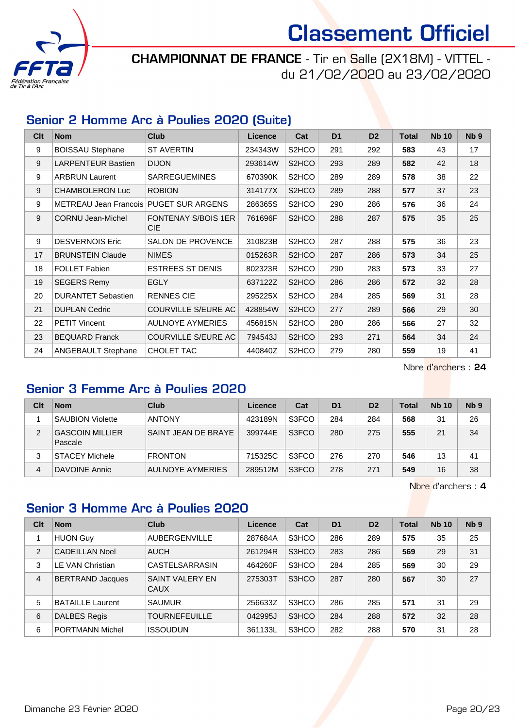

CHAMPIONNAT DE FRANCE - Tir en Salle (2X18M) - VITTEL du 21/02/2020 au 23/02/2020

#### Senior 2 Homme Arc à Poulies 2020 (Suite)

| C <sub>lt</sub> | <b>Nom</b>                             | <b>Club</b>                              | <b>Licence</b> | Cat                | D <sub>1</sub> | D <sub>2</sub> | <b>Total</b> | <b>Nb 10</b> | Nb <sub>9</sub> |
|-----------------|----------------------------------------|------------------------------------------|----------------|--------------------|----------------|----------------|--------------|--------------|-----------------|
| 9               | <b>BOISSAU Stephane</b>                | <b>ST AVERTIN</b>                        | 234343W        | S <sub>2</sub> HCO | 291            | 292            | 583          | 43           | 17              |
| 9               | <b>LARPENTEUR Bastien</b>              | <b>DIJON</b>                             | 293614W        | S <sub>2</sub> HCO | 293            | 289            | 582          | 42           | 18              |
| 9               | <b>ARBRUN Laurent</b>                  | <b>SARREGUEMINES</b>                     | 670390K        | S <sub>2</sub> HCO | 289            | 289            | 578          | 38           | 22              |
| 9               | <b>CHAMBOLERON Luc</b>                 | <b>ROBION</b>                            | 314177X        | S2HCO              | 289            | 288            | 577          | 37           | 23              |
| 9               | METREAU Jean Francois PUGET SUR ARGENS |                                          | 286365S        | S <sub>2</sub> HCO | 290            | 286            | 576          | 36           | 24              |
| 9               | <b>CORNU Jean-Michel</b>               | <b>FONTENAY S/BOIS 1ER</b><br><b>CIE</b> | 761696F        | S2HCO              | 288            | 287            | 575          | 35           | 25              |
| 9               | <b>DESVERNOIS Eric</b>                 | <b>SALON DE PROVENCE</b>                 | 310823B        | S <sub>2</sub> HCO | 287            | 288            | 575          | 36           | 23              |
| 17              | <b>BRUNSTEIN Claude</b>                | <b>NIMES</b>                             | 015263R        | S2HCO              | 287            | 286            | 573          | 34           | 25              |
| 18              | <b>FOLLET Fabien</b>                   | <b>ESTREES ST DENIS</b>                  | 802323R        | S <sub>2</sub> HCO | 290            | 283            | 573          | 33           | 27              |
| 19              | <b>SEGERS Remy</b>                     | <b>EGLY</b>                              | 637122Z        | S2HCO              | 286            | 286            | 572          | 32           | 28              |
| 20              | <b>DURANTET Sebastien</b>              | <b>RENNES CIE</b>                        | 295225X        | S <sub>2</sub> HCO | 284            | 285            | 569          | 31           | 28              |
| 21              | <b>DUPLAN Cedric</b>                   | <b>COURVILLE S/EURE AC</b>               | 428854W        | S2HCO              | 277            | 289            | 566          | 29           | 30              |
| 22              | <b>PETIT Vincent</b>                   | <b>AULNOYE AYMERIES</b>                  | 456815N        | S <sub>2</sub> HCO | 280            | 286            | 566          | 27           | 32              |
| 23              | <b>BEQUARD Franck</b>                  | <b>COURVILLE S/EURE AC</b>               | 794543J        | S <sub>2</sub> HCO | 293            | 271            | 564          | 34           | 24              |
| 24              | <b>ANGEBAULT Stephane</b>              | CHOLET TAC                               | 440840Z        | S <sub>2</sub> HCO | 279            | 280            | 559          | 19           | 41              |

Nbre d'archers : 24

#### Senior 3 Femme Arc à Poulies 2020

| Clt | <b>Nom</b>                        | Club                | Licence | Cat   | D <sub>1</sub> | D <sub>2</sub> | Total | <b>Nb 10</b>   | Nb <sub>9</sub> |
|-----|-----------------------------------|---------------------|---------|-------|----------------|----------------|-------|----------------|-----------------|
|     | <b>SAUBION Violette</b>           | <b>ANTONY</b>       | 423189N | S3FCO | 284            | 284            | 568   | 31             | 26              |
| 2   | <b>GASCOIN MILLIER</b><br>Pascale | SAINT JEAN DE BRAYE | 399744E | S3FCO | 280            | 275            | 555   | 2 <sub>1</sub> | 34              |
|     | <b>STACEY Michele</b>             | <b>FRONTON</b>      | 715325C | S3FCO | 276            | 270            | 546   | 13             | 41              |
| 4   | DAVOINE Annie                     | AULNOYE AYMERIES    | 289512M | S3FCO | 278            | 271            | 549   | 16             | 38              |

Nbre d'archers : 4

### Senior 3 Homme Arc à Poulies 2020

| Clt | <b>Nom</b>              | Club                                  | Licence | Cat   | D <sub>1</sub> | D <sub>2</sub> | <b>Total</b> | <b>Nb 10</b> | N <sub>b</sub> <sub>9</sub> |
|-----|-------------------------|---------------------------------------|---------|-------|----------------|----------------|--------------|--------------|-----------------------------|
| 1   | <b>HUON Guy</b>         | AUBERGENVILLE                         | 287684A | S3HCO | 286            | 289            | 575          | 35           | 25                          |
| 2   | <b>CADEILLAN Noel</b>   | <b>AUCH</b>                           | 261294R | S3HCO | 283            | 286            | 569          | 29           | 31                          |
| 3   | LE VAN Christian        | CASTELSARRASIN                        | 464260F | S3HCO | 284            | 285            | 569          | 30           | 29                          |
| 4   | <b>BERTRAND Jacques</b> | <b>SAINT VALERY EN</b><br><b>CAUX</b> | 275303T | S3HCO | 287            | 280            | 567          | 30           | 27                          |
| 5   | <b>BATAILLE Laurent</b> | <b>SAUMUR</b>                         | 256633Z | S3HCO | 286            | 285            | 571          | 31           | 29                          |
| 6   | <b>DALBES Regis</b>     | <b>TOURNEFEUILLE</b>                  | 042995J | S3HCO | 284            | 288            | 572          | 32           | 28                          |
| 6   | <b>PORTMANN Michel</b>  | <b>ISSOUDUN</b>                       | 361133L | S3HCO | 282            | 288            | 570          | 31           | 28                          |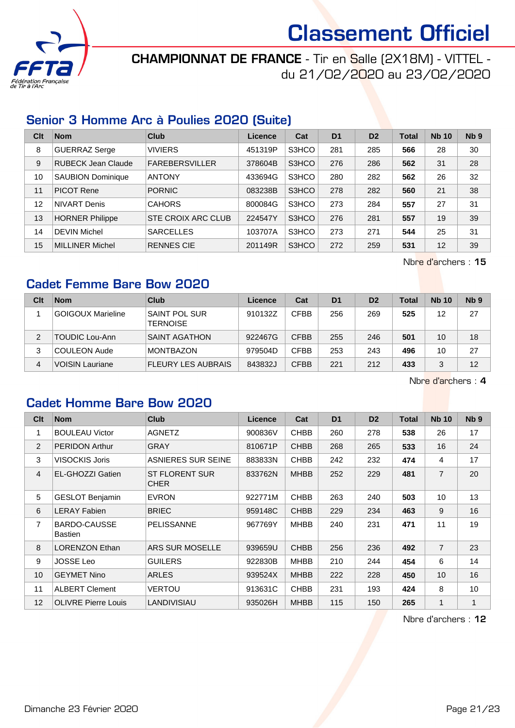

CHAMPIONNAT DE FRANCE - Tir en Salle (2X18M) - VITTEL du 21/02/2020 au 23/02/2020

#### Senior 3 Homme Arc à Poulies 2020 (Suite)

| Clt | <b>Nom</b>               | Club                  | Licence | Cat   | D <sub>1</sub> | D <sub>2</sub> | <b>Total</b> | <b>Nb 10</b> | Nb <sub>9</sub> |
|-----|--------------------------|-----------------------|---------|-------|----------------|----------------|--------------|--------------|-----------------|
| 8   | GUERRAZ Serge            | <b>VIVIERS</b>        | 451319P | S3HCO | 281            | 285            | 566          | 28           | 30              |
| 9   | RUBECK Jean Claude       | <b>FAREBERSVILLER</b> | 378604B | S3HCO | 276            | 286            | 562          | 31           | 28              |
| 10  | <b>SAUBION Dominique</b> | <b>ANTONY</b>         | 433694G | S3HCO | 280            | 282            | 562          | 26           | 32              |
| 11  | <b>PICOT Rene</b>        | <b>PORNIC</b>         | 083238B | S3HCO | 278            | 282            | 560          | 21           | 38              |
| 12  | NIVART Denis             | <b>CAHORS</b>         | 800084G | S3HCO | 273            | 284            | 557          | 27           | 31              |
| 13  | <b>HORNER Philippe</b>   | STE CROIX ARC CLUB    | 224547Y | S3HCO | 276            | 281            | 557          | 19           | 39              |
| 14  | <b>DEVIN Michel</b>      | <b>SARCELLES</b>      | 103707A | S3HCO | 273            | 271            | 544          | 25           | 31              |
| 15  | MILLINER Michel          | <b>RENNES CIE</b>     | 201149R | S3HCO | 272            | 259            | 531          | 12           | 39              |

Nbre d'archers : 15

### Cadet Femme Bare Bow 2020

| Clt | <b>Nom</b>               | Club                                    | Licence | Cat         | D <sub>1</sub> | D <sub>2</sub> | Total | <b>Nb 10</b> | N <sub>b</sub> <sub>9</sub> |
|-----|--------------------------|-----------------------------------------|---------|-------------|----------------|----------------|-------|--------------|-----------------------------|
|     | <b>GOIGOUX Marieline</b> | <b>SAINT POL SUR</b><br><b>TERNOISE</b> | 910132Z | <b>CFBB</b> | 256            | 269            | 525   | 12           | 27                          |
| 2   | <b>TOUDIC Lou-Ann</b>    | <b>SAINT AGATHON</b>                    | 922467G | <b>CFBB</b> | 255            | 246            | 501   | 10           | 18                          |
| 3   | <b>COULEON Aude</b>      | <b>MONTBAZON</b>                        | 979504D | <b>CFBB</b> | 253            | 243            | 496   | 10           | 27                          |
| 4   | <b>VOISIN Lauriane</b>   | <b>FLEURY LES AUBRAIS</b>               | 843832J | <b>CFBB</b> | 221            | 212            | 433   | 3            | 12                          |

Nbre d'archers : 4

#### Cadet Homme Bare Bow 2020

| C <sub>it</sub> | <b>Nom</b>                     | <b>Club</b>                          | <b>Licence</b> | Cat         | D <sub>1</sub> | D <sub>2</sub> | <b>Total</b> | <b>Nb 10</b>   | N <sub>b</sub> <sub>9</sub> |
|-----------------|--------------------------------|--------------------------------------|----------------|-------------|----------------|----------------|--------------|----------------|-----------------------------|
| 1               | <b>BOULEAU Victor</b>          | AGNETZ                               | 900836V        | <b>CHBB</b> | 260            | 278            | 538          | 26             | 17                          |
| 2               | <b>PERIDON Arthur</b>          | <b>GRAY</b>                          | 810671P        | <b>CHBB</b> | 268            | 265            | 533          | 16             | 24                          |
| 3               | <b>VISOCKIS Joris</b>          | ASNIERES SUR SEINE                   | 883833N        | <b>CHBB</b> | 242            | 232            | 474          | 4              | 17                          |
| $\overline{4}$  | EL-GHOZZI Gatien               | <b>ST FLORENT SUR</b><br><b>CHER</b> | 833762N        | <b>MHBB</b> | 252            | 229            | 481          | $\overline{7}$ | 20                          |
| 5               | <b>GESLOT Benjamin</b>         | <b>EVRON</b>                         | 922771M        | <b>CHBB</b> | 263            | 240            | 503          | 10             | 13                          |
| 6               | <b>LERAY Fabien</b>            | <b>BRIEC</b>                         | 959148C        | <b>CHBB</b> | 229            | 234            | 463          | 9              | 16                          |
| $\overline{7}$  | BARDO-CAUSSE<br><b>Bastien</b> | <b>PELISSANNE</b>                    | 967769Y        | <b>MHBB</b> | 240            | 231            | 471          | 11             | 19                          |
| 8               | <b>LORENZON Ethan</b>          | ARS SUR MOSELLE                      | 939659U        | <b>CHBB</b> | 256            | 236            | 492          | $\overline{7}$ | 23                          |
| 9               | <b>JOSSE Leo</b>               | <b>GUILERS</b>                       | 922830B        | <b>MHBB</b> | 210            | 244            | 454          | 6              | 14                          |
| 10              | <b>GEYMET Nino</b>             | <b>ARLES</b>                         | 939524X        | <b>MHBB</b> | 222            | 228            | 450          | 10             | 16                          |
| 11              | <b>ALBERT Clement</b>          | VERTOU                               | 913631C        | <b>CHBB</b> | 231            | 193            | 424          | 8              | 10                          |
| 12              | <b>OLIVRE Pierre Louis</b>     | LANDIVISIAU                          | 935026H        | <b>MHBB</b> | 115            | 150            | 265          | $\mathbf{1}$   | $\mathbf{1}$                |

Nbre d'archers : 12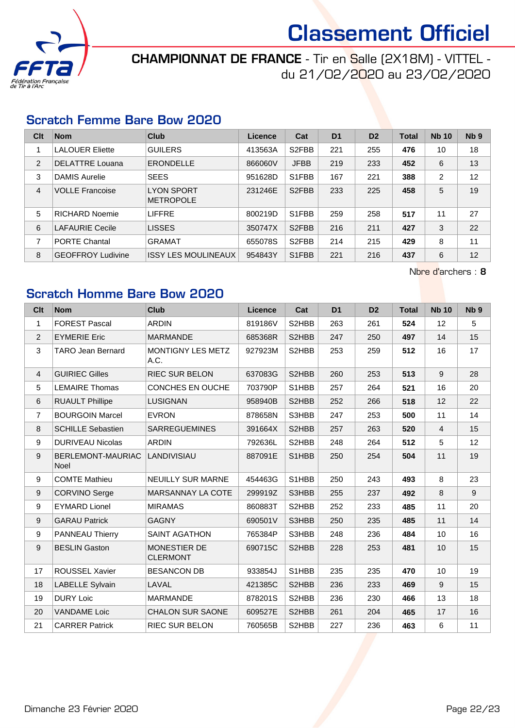

### CHAMPIONNAT DE FRANCE - Tir en Salle (2X18M) - VITTEL du 21/02/2020 au 23/02/2020

#### Scratch Femme Bare Bow 2020

| Clt            | <b>Nom</b>               | Club                                  | Licence | Cat                | D <sub>1</sub> | D <sub>2</sub> | <b>Total</b> | <b>Nb 10</b> | Nb <sub>9</sub> |
|----------------|--------------------------|---------------------------------------|---------|--------------------|----------------|----------------|--------------|--------------|-----------------|
|                | <b>LALOUER Eliette</b>   | <b>GUILERS</b>                        | 413563A | S <sub>2</sub> FBB | 221            | 255            | 476          | 10           | 18              |
| 2              | <b>DELATTRE Louana</b>   | <b>ERONDELLE</b>                      | 866060V | <b>JFBB</b>        | 219            | 233            | 452          | 6            | 13              |
| 3              | <b>DAMIS Aurelie</b>     | <b>SEES</b>                           | 951628D | S1FBB              | 167            | 221            | 388          | 2            | 12              |
| $\overline{4}$ | <b>VOLLE Francoise</b>   | <b>LYON SPORT</b><br><b>METROPOLE</b> | 231246E | S <sub>2</sub> FBB | 233            | 225            | 458          | 5            | 19              |
| 5              | <b>RICHARD Noemie</b>    | <b>LIFFRE</b>                         | 800219D | S1FBB              | 259            | 258            | 517          | 11           | 27              |
| 6              | <b>LAFAURIE Cecile</b>   | <b>LISSES</b>                         | 350747X | S <sub>2</sub> FBB | 216            | 211            | 427          | 3            | 22              |
| 7              | <b>PORTE Chantal</b>     | <b>GRAMAT</b>                         | 655078S | S <sub>2</sub> FBB | 214            | 215            | 429          | 8            | 11              |
| 8              | <b>GEOFFROY Ludivine</b> | <b>ISSY LES MOULINEAUX</b>            | 954843Y | S1FBB              | 221            | 216            | 437          | 6            | 12              |

Nbre d'archers : 8

### Scratch Homme Bare Bow 2020

| Clt              | <b>Nom</b>                | <b>Club</b>                     | <b>Licence</b> | Cat   | D <sub>1</sub> | D <sub>2</sub> | <b>Total</b> | <b>Nb 10</b>   | N <sub>b</sub> <sub>9</sub> |
|------------------|---------------------------|---------------------------------|----------------|-------|----------------|----------------|--------------|----------------|-----------------------------|
| $\mathbf{1}$     | <b>FOREST Pascal</b>      | <b>ARDIN</b>                    | 819186V        | S2HBB | 263            | 261            | 524          | 12             | 5                           |
| $\overline{2}$   | <b>EYMERIE Eric</b>       | <b>MARMANDE</b>                 | 685368R        | S2HBB | 247            | 250            | 497          | 14             | 15                          |
| 3                | <b>TARO Jean Bernard</b>  | MONTIGNY LES METZ<br>A.C.       | 927923M        | S2HBB | 253            | 259            | 512          | 16             | 17                          |
| $\overline{4}$   | <b>GUIRIEC Gilles</b>     | <b>RIEC SUR BELON</b>           | 637083G        | S2HBB | 260            | 253            | 513          | 9              | 28                          |
| 5                | <b>LEMAIRE Thomas</b>     | CONCHES EN OUCHE                | 703790P        | S1HBB | 257            | 264            | 521          | 16             | 20                          |
| $\,6\,$          | <b>RUAULT Phillipe</b>    | <b>LUSIGNAN</b>                 | 958940B        | S2HBB | 252            | 266            | 518          | 12             | 22                          |
| $\overline{7}$   | <b>BOURGOIN Marcel</b>    | <b>EVRON</b>                    | 878658N        | S3HBB | 247            | 253            | 500          | 11             | 14                          |
| 8                | <b>SCHILLE Sebastien</b>  | <b>SARREGUEMINES</b>            | 391664X        | S2HBB | 257            | 263            | 520          | $\overline{4}$ | 15                          |
| $\boldsymbol{9}$ | <b>DURIVEAU Nicolas</b>   | <b>ARDIN</b>                    | 792636L        | S2HBB | 248            | 264            | 512          | 5              | 12                          |
| 9                | BERLEMONT-MAURIAC<br>Noel | LANDIVISIAU                     | 887091E        | S1HBB | 250            | 254            | 504          | 11             | 19                          |
| 9                | <b>COMTE Mathieu</b>      | <b>NEUILLY SUR MARNE</b>        | 454463G        | S1HBB | 250            | 243            | 493          | 8              | 23                          |
| $\boldsymbol{9}$ | <b>CORVINO Serge</b>      | MARSANNAY LA COTE               | 299919Z        | S3HBB | 255            | 237            | 492          | 8              | 9                           |
| $\boldsymbol{9}$ | <b>EYMARD Lionel</b>      | <b>MIRAMAS</b>                  | 860883T        | S2HBB | 252            | 233            | 485          | 11             | 20                          |
| 9                | <b>GARAU Patrick</b>      | <b>GAGNY</b>                    | 690501V        | S3HBB | 250            | 235            | 485          | 11             | 14                          |
| $\boldsymbol{9}$ | PANNEAU Thierry           | <b>SAINT AGATHON</b>            | 765384P        | S3HBB | 248            | 236            | 484          | 10             | 16                          |
| $\boldsymbol{9}$ | <b>BESLIN Gaston</b>      | MONESTIER DE<br><b>CLERMONT</b> | 690715C        | S2HBB | 228            | 253            | 481          | 10             | 15                          |
| 17               | <b>ROUSSEL Xavier</b>     | <b>BESANCON DB</b>              | 933854J        | S1HBB | 235            | 235            | 470          | 10             | 19                          |
| 18               | <b>LABELLE Sylvain</b>    | LAVAL                           | 421385C        | S2HBB | 236            | 233            | 469          | 9              | 15                          |
| 19               | <b>DURY Loic</b>          | <b>MARMANDE</b>                 | 878201S        | S2HBB | 236            | 230            | 466          | 13             | 18                          |
| 20               | <b>VANDAME Loic</b>       | <b>CHALON SUR SAONE</b>         | 609527E        | S2HBB | 261            | 204            | 465          | 17             | 16                          |
| 21               | <b>CARRER Patrick</b>     | <b>RIEC SUR BELON</b>           | 760565B        | S2HBB | 227            | 236            | 463          | 6              | 11                          |